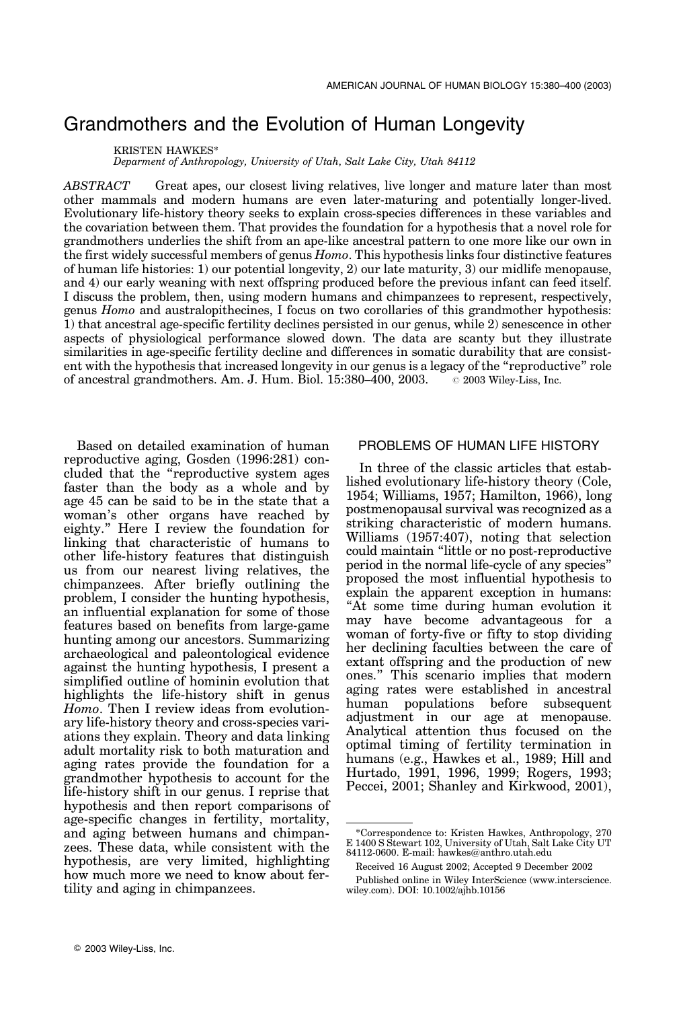# Grandmothers and the Evolution of Human Longevity

KRISTEN HAWKES\*

Deparment of Anthropology, University of Utah, Salt Lake City, Utah 84112

ABSTRACT Great apes, our closest living relatives, live longer and mature later than most other mammals and modern humans are even later-maturing and potentially longer-lived. Evolutionary life-history theory seeks to explain cross-species differences in these variables and the covariation between them. That provides the foundation for a hypothesis that a novel role for grandmothers underlies the shift from an ape-like ancestral pattern to one more like our own in the first widely successful members of genus Homo. This hypothesis links four distinctive features of human life histories: 1) our potential longevity, 2) our late maturity, 3) our midlife menopause, and 4) our early weaning with next offspring produced before the previous infant can feed itself. I discuss the problem, then, using modern humans and chimpanzees to represent, respectively, genus Homo and australopithecines, I focus on two corollaries of this grandmother hypothesis: 1) that ancestral age-specific fertility declines persisted in our genus, while 2) senescence in other aspects of physiological performance slowed down. The data are scanty but they illustrate similarities in age-specific fertility decline and differences in somatic durability that are consistent with the hypothesis that increased longevity in our genus is a legacy of the ''reproductive'' role of ancestral grandmothers. Am. J. Hum. Biol. 15:380–400, 2003. # 2003 Wiley-Liss, Inc.

Based on detailed examination of human reproductive aging, Gosden (1996:281) concluded that the ''reproductive system ages faster than the body as a whole and by age 45 can be said to be in the state that a woman's other organs have reached by eighty.'' Here I review the foundation for linking that characteristic of humans to other life-history features that distinguish us from our nearest living relatives, the chimpanzees. After briefly outlining the problem, I consider the hunting hypothesis, an influential explanation for some of those features based on benefits from large-game hunting among our ancestors. Summarizing archaeological and paleontological evidence against the hunting hypothesis, I present a simplified outline of hominin evolution that highlights the life-history shift in genus Homo. Then I review ideas from evolutionary life-history theory and cross-species variations they explain. Theory and data linking adult mortality risk to both maturation and aging rates provide the foundation for a grandmother hypothesis to account for the life-history shift in our genus. I reprise that hypothesis and then report comparisons of age-specific changes in fertility, mortality, and aging between humans and chimpanzees. These data, while consistent with the hypothesis, are very limited, highlighting how much more we need to know about fertility and aging in chimpanzees.

# PROBLEMS OF HUMAN LIFE HISTORY

In three of the classic articles that established evolutionary life-history theory (Cole, 1954; Williams, 1957; Hamilton, 1966), long postmenopausal survival was recognized as a striking characteristic of modern humans. Williams (1957:407), noting that selection could maintain ''little or no post-reproductive period in the normal life-cycle of any species'' proposed the most influential hypothesis to explain the apparent exception in humans: "At some time during human evolution it may have become advantageous for a woman of forty-five or fifty to stop dividing her declining faculties between the care of extant offspring and the production of new ones.'' This scenario implies that modern aging rates were established in ancestral human populations before subsequent adjustment in our age at menopause. Analytical attention thus focused on the optimal timing of fertility termination in humans (e.g., Hawkes et al., 1989; Hill and Hurtado, 1991, 1996, 1999; Rogers, 1993; Peccei, 2001; Shanley and Kirkwood, 2001),

<sup>\*</sup>Correspondence to: Kristen Hawkes, Anthropology, 270 E 1400 S Stewart 102, University of Utah, Salt Lake City UT 84112-0600. E-mail: hawkes@anthro.utah.edu

Received 16 August 2002; Accepted 9 December 2002

Published online in Wiley InterScience (www.interscience. wiley.com). DOI: 10.1002/ajhb.10156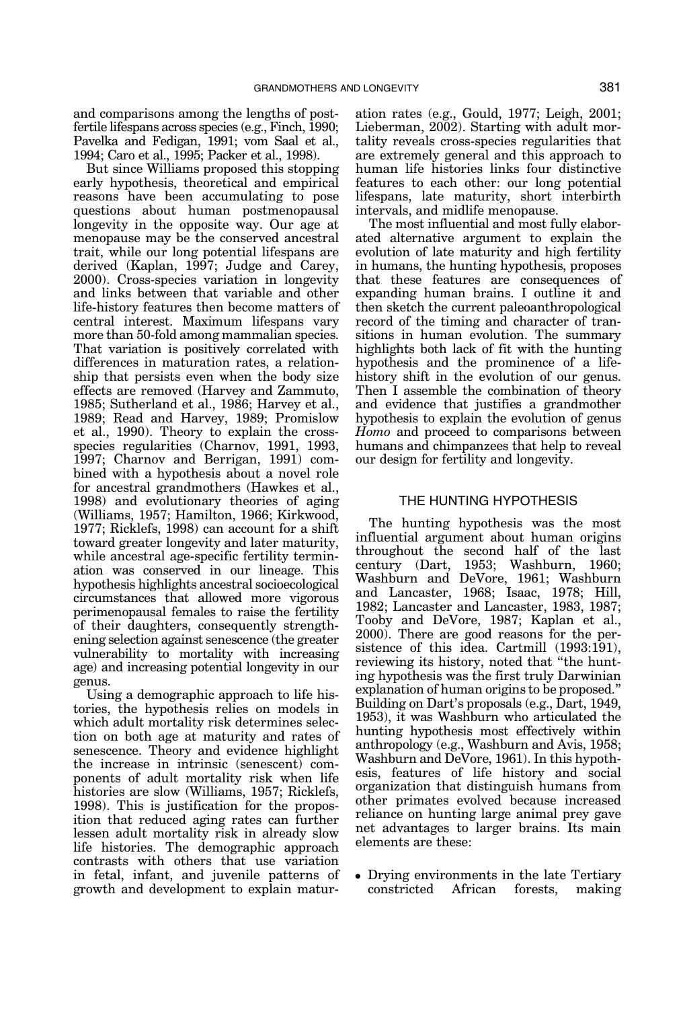and comparisons among the lengths of postfertile lifespans across species (e.g., Finch, 1990; Pavelka and Fedigan, 1991; vom Saal et al., 1994; Caro et al., 1995; Packer et al., 1998).

But since Williams proposed this stopping early hypothesis, theoretical and empirical reasons have been accumulating to pose questions about human postmenopausal longevity in the opposite way. Our age at menopause may be the conserved ancestral trait, while our long potential lifespans are derived (Kaplan, 1997; Judge and Carey, 2000). Cross-species variation in longevity and links between that variable and other life-history features then become matters of central interest. Maximum lifespans vary more than 50-fold among mammalian species. That variation is positively correlated with differences in maturation rates, a relationship that persists even when the body size effects are removed (Harvey and Zammuto, 1985; Sutherland et al., 1986; Harvey et al., 1989; Read and Harvey, 1989; Promislow et al., 1990). Theory to explain the crossspecies regularities (Charnov, 1991, 1993, 1997; Charnov and Berrigan, 1991) combined with a hypothesis about a novel role for ancestral grandmothers (Hawkes et al., 1998) and evolutionary theories of aging (Williams, 1957; Hamilton, 1966; Kirkwood, 1977; Ricklefs, 1998) can account for a shift toward greater longevity and later maturity, while ancestral age-specific fertility termination was conserved in our lineage. This hypothesis highlights ancestral socioecological circumstances that allowed more vigorous perimenopausal females to raise the fertility of their daughters, consequently strengthening selection against senescence (the greater vulnerability to mortality with increasing age) and increasing potential longevity in our genus.

Using a demographic approach to life histories, the hypothesis relies on models in which adult mortality risk determines selection on both age at maturity and rates of senescence. Theory and evidence highlight the increase in intrinsic (senescent) components of adult mortality risk when life histories are slow (Williams, 1957; Ricklefs, 1998). This is justification for the proposition that reduced aging rates can further lessen adult mortality risk in already slow life histories. The demographic approach contrasts with others that use variation in fetal, infant, and juvenile patterns of growth and development to explain matur-

ation rates (e.g., Gould, 1977; Leigh, 2001; Lieberman, 2002). Starting with adult mortality reveals cross-species regularities that are extremely general and this approach to human life histories links four distinctive features to each other: our long potential lifespans, late maturity, short interbirth intervals, and midlife menopause.

The most influential and most fully elaborated alternative argument to explain the evolution of late maturity and high fertility in humans, the hunting hypothesis, proposes that these features are consequences of expanding human brains. I outline it and then sketch the current paleoanthropological record of the timing and character of transitions in human evolution. The summary highlights both lack of fit with the hunting hypothesis and the prominence of a lifehistory shift in the evolution of our genus. Then I assemble the combination of theory and evidence that justifies a grandmother hypothesis to explain the evolution of genus Homo and proceed to comparisons between humans and chimpanzees that help to reveal our design for fertility and longevity.

## THE HUNTING HYPOTHESIS

The hunting hypothesis was the most influential argument about human origins throughout the second half of the last century (Dart, 1953; Washburn, 1960; Washburn and DeVore, 1961; Washburn and Lancaster, 1968; Isaac, 1978; Hill, 1982; Lancaster and Lancaster, 1983, 1987; Tooby and DeVore, 1987; Kaplan et al., 2000). There are good reasons for the persistence of this idea. Cartmill (1993:191), reviewing its history, noted that ''the hunting hypothesis was the first truly Darwinian explanation of human origins to be proposed.'' Building on Dart's proposals (e.g., Dart, 1949, 1953), it was Washburn who articulated the hunting hypothesis most effectively within anthropology (e.g., Washburn and Avis, 1958; Washburn and DeVore, 1961). In this hypothesis, features of life history and social organization that distinguish humans from other primates evolved because increased reliance on hunting large animal prey gave net advantages to larger brains. Its main elements are these:

• Drying environments in the late Tertiary constricted African forests, making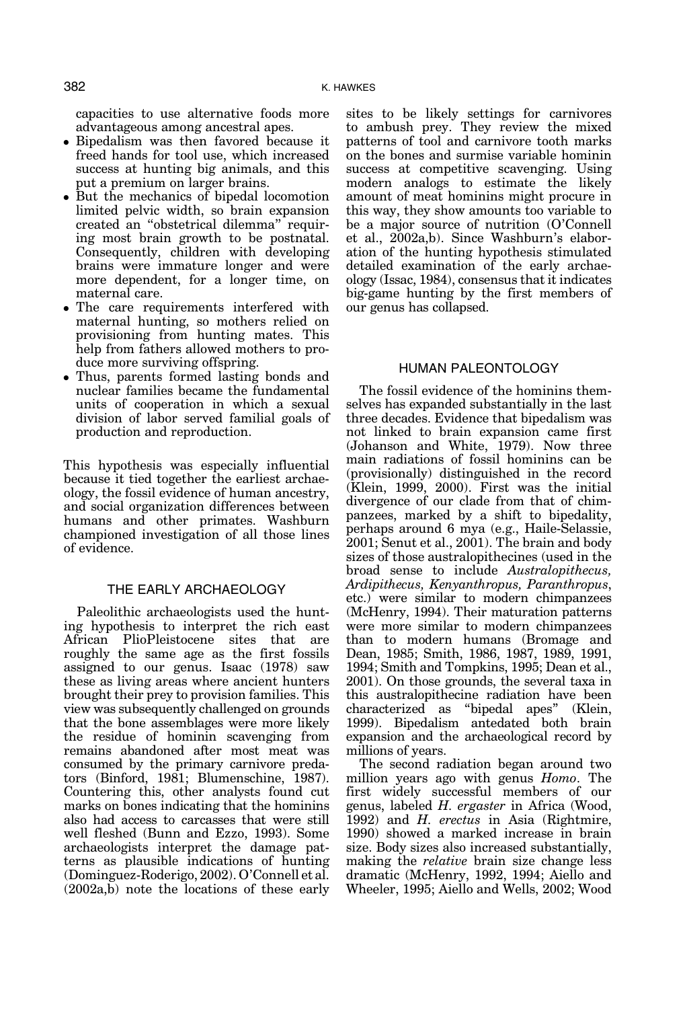capacities to use alternative foods more advantageous among ancestral apes.

- \* Bipedalism was then favored because it freed hands for tool use, which increased success at hunting big animals, and this put a premium on larger brains.
- But the mechanics of bipedal locomotion limited pelvic width, so brain expansion created an ''obstetrical dilemma'' requiring most brain growth to be postnatal. Consequently, children with developing brains were immature longer and were more dependent, for a longer time, on maternal care.
- The care requirements interfered with maternal hunting, so mothers relied on provisioning from hunting mates. This help from fathers allowed mothers to produce more surviving offspring.
- Thus, parents formed lasting bonds and nuclear families became the fundamental units of cooperation in which a sexual division of labor served familial goals of production and reproduction.

This hypothesis was especially influential because it tied together the earliest archaeology, the fossil evidence of human ancestry, and social organization differences between humans and other primates. Washburn championed investigation of all those lines of evidence.

# THE EARLY ARCHAEOLOGY

Paleolithic archaeologists used the hunting hypothesis to interpret the rich east African PlioPleistocene sites that are roughly the same age as the first fossils assigned to our genus. Isaac (1978) saw these as living areas where ancient hunters brought their prey to provision families. This view was subsequently challenged on grounds that the bone assemblages were more likely the residue of hominin scavenging from remains abandoned after most meat was consumed by the primary carnivore predators (Binford, 1981; Blumenschine, 1987). Countering this, other analysts found cut marks on bones indicating that the hominins also had access to carcasses that were still well fleshed (Bunn and Ezzo, 1993). Some archaeologists interpret the damage patterns as plausible indications of hunting (Dominguez-Roderigo, 2002). O'Connell et al.  $(2002a,\bar{b})$  note the locations of these early

sites to be likely settings for carnivores to ambush prey. They review the mixed patterns of tool and carnivore tooth marks on the bones and surmise variable hominin success at competitive scavenging. Using modern analogs to estimate the likely amount of meat hominins might procure in this way, they show amounts too variable to be a major source of nutrition (O'Connell et al., 2002a,b). Since Washburn's elaboration of the hunting hypothesis stimulated detailed examination of the early archaeology (Issac, 1984), consensus that it indicates big-game hunting by the first members of our genus has collapsed.

## HUMAN PALEONTOLOGY

The fossil evidence of the hominins themselves has expanded substantially in the last three decades. Evidence that bipedalism was not linked to brain expansion came first (Johanson and White, 1979). Now three main radiations of fossil hominins can be (provisionally) distinguished in the record (Klein, 1999, 2000). First was the initial divergence of our clade from that of chimpanzees, marked by a shift to bipedality, perhaps around 6 mya (e.g., Haile-Selassie, 2001; Senut et al., 2001). The brain and body sizes of those australopithecines (used in the broad sense to include Australopithecus, Ardipithecus, Kenyanthropus, Paranthropus, etc.) were similar to modern chimpanzees (McHenry, 1994). Their maturation patterns were more similar to modern chimpanzees than to modern humans (Bromage and Dean, 1985; Smith, 1986, 1987, 1989, 1991, 1994; Smith and Tompkins, 1995; Dean et al., 2001). On those grounds, the several taxa in this australopithecine radiation have been characterized as ''bipedal apes'' (Klein, 1999). Bipedalism antedated both brain expansion and the archaeological record by millions of years.

The second radiation began around two million years ago with genus Homo. The first widely successful members of our genus, labeled H. ergaster in Africa (Wood, 1992) and H. erectus in Asia (Rightmire, 1990) showed a marked increase in brain size. Body sizes also increased substantially, making the relative brain size change less dramatic (McHenry, 1992, 1994; Aiello and Wheeler, 1995; Aiello and Wells, 2002; Wood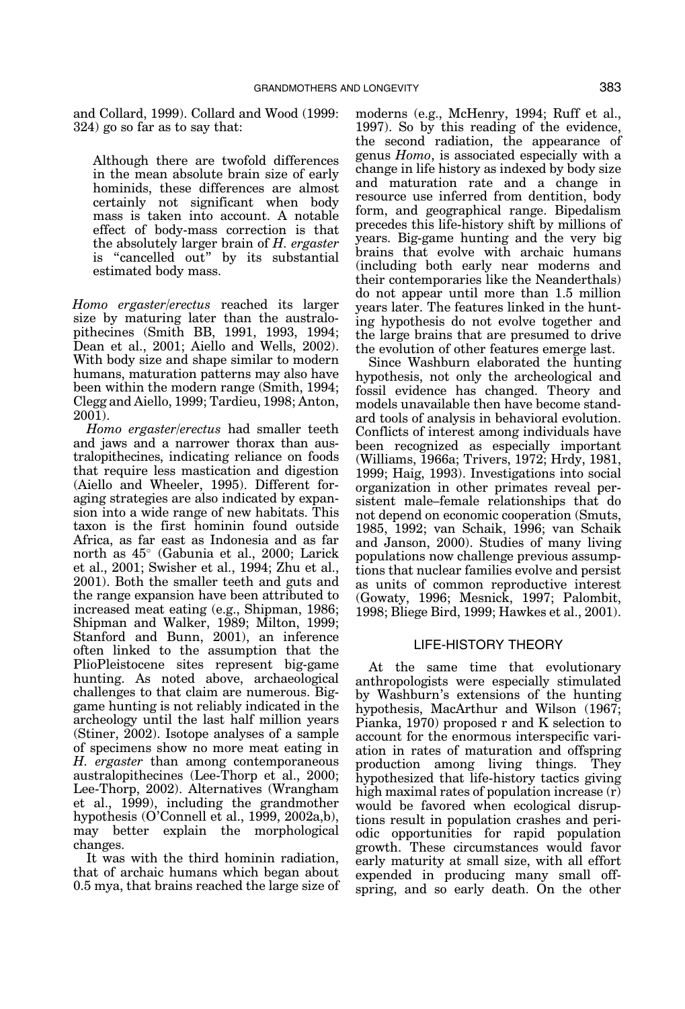and Collard, 1999). Collard and Wood (1999: 324) go so far as to say that:

Although there are twofold differences in the mean absolute brain size of early hominids, these differences are almost certainly not significant when body mass is taken into account. A notable effect of body-mass correction is that the absolutely larger brain of H. ergaster is "cancelled out" by its substantial estimated body mass.

Homo ergaster/erectus reached its larger size by maturing later than the australopithecines (Smith BB, 1991, 1993, 1994; Dean et al., 2001; Aiello and Wells, 2002). With body size and shape similar to modern humans, maturation patterns may also have been within the modern range (Smith, 1994; Clegg and Aiello, 1999; Tardieu, 1998; Anton, 2001).

Homo ergaster/erectus had smaller teeth and jaws and a narrower thorax than australopithecines, indicating reliance on foods that require less mastication and digestion (Aiello and Wheeler, 1995). Different foraging strategies are also indicated by expansion into a wide range of new habitats. This taxon is the first hominin found outside Africa, as far east as Indonesia and as far north as  $45^{\circ}$  (Gabunia et al., 2000; Larick et al., 2001; Swisher et al., 1994; Zhu et al., 2001). Both the smaller teeth and guts and the range expansion have been attributed to increased meat eating (e.g., Shipman, 1986; Shipman and Walker, 1989; Milton, 1999; Stanford and Bunn, 2001), an inference often linked to the assumption that the PlioPleistocene sites represent big-game hunting. As noted above, archaeological challenges to that claim are numerous. Biggame hunting is not reliably indicated in the archeology until the last half million years (Stiner, 2002). Isotope analyses of a sample of specimens show no more meat eating in H. ergaster than among contemporaneous australopithecines (Lee-Thorp et al., 2000; Lee-Thorp, 2002). Alternatives (Wrangham et al., 1999), including the grandmother hypothesis (O'Connell et al., 1999, 2002a,b), may better explain the morphological changes.

It was with the third hominin radiation, that of archaic humans which began about 0.5 mya, that brains reached the large size of

moderns (e.g., McHenry, 1994; Ruff et al., 1997). So by this reading of the evidence, the second radiation, the appearance of genus Homo, is associated especially with a change in life history as indexed by body size and maturation rate and a change in resource use inferred from dentition, body form, and geographical range. Bipedalism precedes this life-history shift by millions of years. Big-game hunting and the very big brains that evolve with archaic humans (including both early near moderns and their contemporaries like the Neanderthals) do not appear until more than 1.5 million years later. The features linked in the hunting hypothesis do not evolve together and the large brains that are presumed to drive the evolution of other features emerge last.

Since Washburn elaborated the hunting hypothesis, not only the archeological and fossil evidence has changed. Theory and models unavailable then have become standard tools of analysis in behavioral evolution. Conflicts of interest among individuals have been recognized as especially important (Williams, 1966a; Trivers, 1972; Hrdy, 1981, 1999; Haig, 1993). Investigations into social organization in other primates reveal persistent male–female relationships that do not depend on economic cooperation (Smuts, 1985, 1992; van Schaik, 1996; van Schaik and Janson, 2000). Studies of many living populations now challenge previous assumptions that nuclear families evolve and persist as units of common reproductive interest (Gowaty, 1996; Mesnick, 1997; Palombit, 1998; Bliege Bird, 1999; Hawkes et al., 2001).

### LIFE-HISTORY THEORY

At the same time that evolutionary anthropologists were especially stimulated by Washburn's extensions of the hunting hypothesis, MacArthur and Wilson (1967; Pianka, 1970) proposed r and K selection to account for the enormous interspecific variation in rates of maturation and offspring production among living things. They hypothesized that life-history tactics giving high maximal rates of population increase (r) would be favored when ecological disruptions result in population crashes and periodic opportunities for rapid population growth. These circumstances would favor early maturity at small size, with all effort expended in producing many small offspring, and so early death. On the other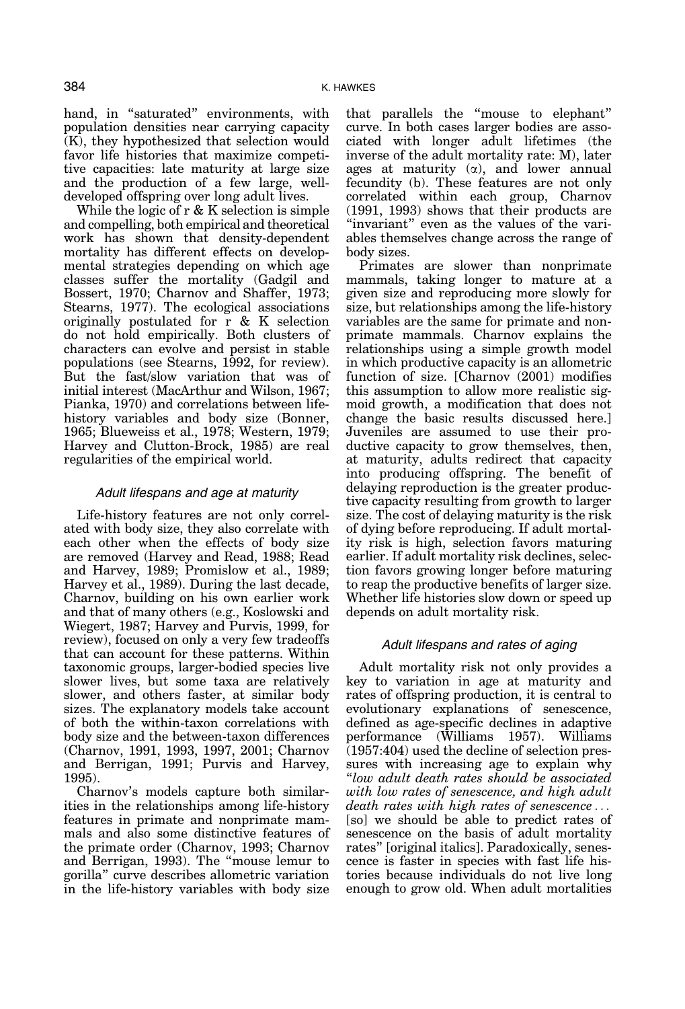hand, in "saturated" environments, with population densities near carrying capacity (K), they hypothesized that selection would favor life histories that maximize competitive capacities: late maturity at large size and the production of a few large, welldeveloped offspring over long adult lives.

While the logic of r & K selection is simple and compelling, both empirical and theoretical work has shown that density-dependent mortality has different effects on developmental strategies depending on which age classes suffer the mortality (Gadgil and Bossert, 1970; Charnov and Shaffer, 1973; Stearns, 1977). The ecological associations originally postulated for r & K selection do not hold empirically. Both clusters of characters can evolve and persist in stable populations (see Stearns, 1992, for review). But the fast/slow variation that was of initial interest (MacArthur and Wilson, 1967; Pianka, 1970) and correlations between lifehistory variables and body size (Bonner, 1965; Blueweiss et al., 1978; Western, 1979; Harvey and Clutton-Brock, 1985) are real regularities of the empirical world.

## Adult lifespans and age at maturity

Life-history features are not only correlated with body size, they also correlate with each other when the effects of body size are removed (Harvey and Read, 1988; Read and Harvey, 1989; Promislow et al., 1989; Harvey et al., 1989). During the last decade, Charnov, building on his own earlier work and that of many others (e.g., Koslowski and Wiegert, 1987; Harvey and Purvis, 1999, for review), focused on only a very few tradeoffs that can account for these patterns. Within taxonomic groups, larger-bodied species live slower lives, but some taxa are relatively slower, and others faster, at similar body sizes. The explanatory models take account of both the within-taxon correlations with body size and the between-taxon differences (Charnov, 1991, 1993, 1997, 2001; Charnov and Berrigan, 1991; Purvis and Harvey, 1995).

Charnov's models capture both similarities in the relationships among life-history features in primate and nonprimate mammals and also some distinctive features of the primate order (Charnov, 1993; Charnov and Berrigan, 1993). The ''mouse lemur to gorilla'' curve describes allometric variation in the life-history variables with body size

that parallels the ''mouse to elephant'' curve. In both cases larger bodies are associated with longer adult lifetimes (the inverse of the adult mortality rate: M), later ages at maturity  $(\alpha)$ , and lower annual fecundity (b). These features are not only correlated within each group, Charnov (1991, 1993) shows that their products are "invariant" even as the values of the variables themselves change across the range of body sizes.

Primates are slower than nonprimate mammals, taking longer to mature at a given size and reproducing more slowly for size, but relationships among the life-history variables are the same for primate and nonprimate mammals. Charnov explains the relationships using a simple growth model in which productive capacity is an allometric function of size. [Charnov (2001) modifies this assumption to allow more realistic sigmoid growth, a modification that does not change the basic results discussed here.] Juveniles are assumed to use their productive capacity to grow themselves, then, at maturity, adults redirect that capacity into producing offspring. The benefit of delaying reproduction is the greater productive capacity resulting from growth to larger size. The cost of delaying maturity is the risk of dying before reproducing. If adult mortality risk is high, selection favors maturing earlier. If adult mortality risk declines, selection favors growing longer before maturing to reap the productive benefits of larger size. Whether life histories slow down or speed up depends on adult mortality risk.

### Adult lifespans and rates of aging

Adult mortality risk not only provides a key to variation in age at maturity and rates of offspring production, it is central to evolutionary explanations of senescence, defined as age-specific declines in adaptive performance (Williams 1957). Williams (1957:404) used the decline of selection pressures with increasing age to explain why ''low adult death rates should be associated with low rates of senescence, and high adult death rates with high rates of senescence ... [so] we should be able to predict rates of senescence on the basis of adult mortality rates'' [original italics]. Paradoxically, senescence is faster in species with fast life histories because individuals do not live long enough to grow old. When adult mortalities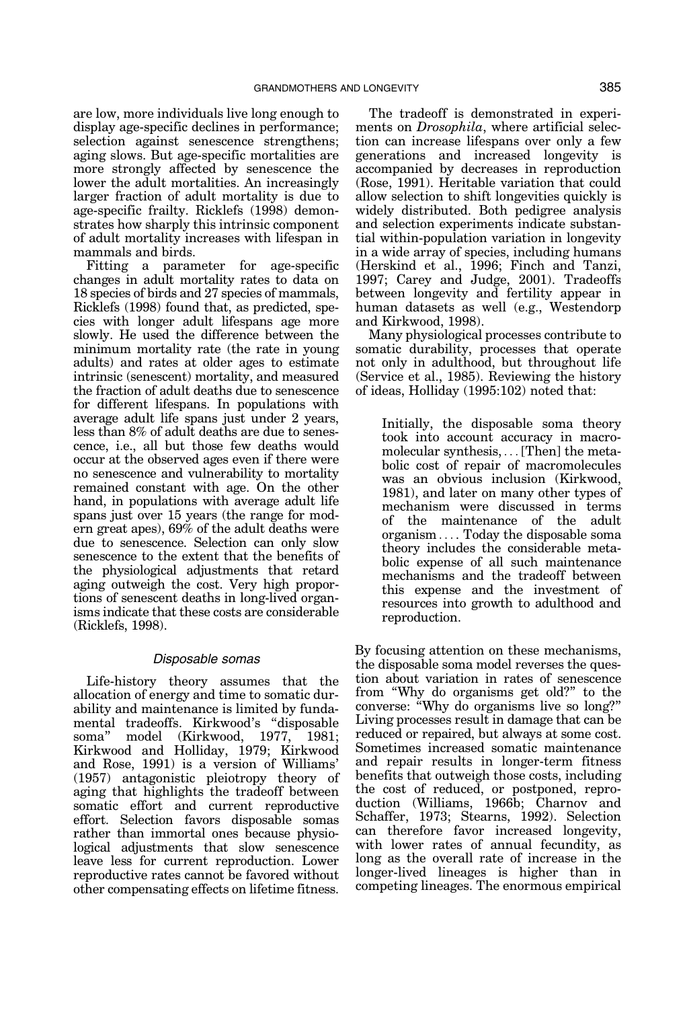are low, more individuals live long enough to display age-specific declines in performance; selection against senescence strengthens; aging slows. But age-specific mortalities are more strongly affected by senescence the lower the adult mortalities. An increasingly larger fraction of adult mortality is due to age-specific frailty. Ricklefs (1998) demonstrates how sharply this intrinsic component of adult mortality increases with lifespan in mammals and birds.

Fitting a parameter for age-specific changes in adult mortality rates to data on 18 species of birds and 27 species of mammals, Ricklefs (1998) found that, as predicted, species with longer adult lifespans age more slowly. He used the difference between the minimum mortality rate (the rate in young adults) and rates at older ages to estimate intrinsic (senescent) mortality, and measured the fraction of adult deaths due to senescence for different lifespans. In populations with average adult life spans just under 2 years, less than 8% of adult deaths are due to senescence, i.e., all but those few deaths would occur at the observed ages even if there were no senescence and vulnerability to mortality remained constant with age. On the other hand, in populations with average adult life spans just over 15 years (the range for modern great apes), 69% of the adult deaths were due to senescence. Selection can only slow senescence to the extent that the benefits of the physiological adjustments that retard aging outweigh the cost. Very high proportions of senescent deaths in long-lived organisms indicate that these costs are considerable (Ricklefs, 1998).

#### Disposable somas

Life-history theory assumes that the allocation of energy and time to somatic durability and maintenance is limited by fundamental tradeoffs. Kirkwood's ''disposable soma'' model (Kirkwood, 1977, 1981; Kirkwood and Holliday, 1979; Kirkwood and Rose, 1991) is a version of Williams' (1957) antagonistic pleiotropy theory of aging that highlights the tradeoff between somatic effort and current reproductive effort. Selection favors disposable somas rather than immortal ones because physiological adjustments that slow senescence leave less for current reproduction. Lower reproductive rates cannot be favored without other compensating effects on lifetime fitness.

The tradeoff is demonstrated in experiments on *Drosophila*, where artificial selection can increase lifespans over only a few generations and increased longevity is accompanied by decreases in reproduction (Rose, 1991). Heritable variation that could allow selection to shift longevities quickly is widely distributed. Both pedigree analysis and selection experiments indicate substantial within-population variation in longevity in a wide array of species, including humans (Herskind et al., 1996; Finch and Tanzi, 1997; Carey and Judge, 2001). Tradeoffs between longevity and fertility appear in human datasets as well (e.g., Westendorp and Kirkwood, 1998).

Many physiological processes contribute to somatic durability, processes that operate not only in adulthood, but throughout life (Service et al., 1985). Reviewing the history of ideas, Holliday (1995:102) noted that:

Initially, the disposable soma theory took into account accuracy in macromolecular synthesis, ...[Then] the metabolic cost of repair of macromolecules was an obvious inclusion (Kirkwood, 1981), and later on many other types of mechanism were discussed in terms of the maintenance of the adult organism ... . Today the disposable soma theory includes the considerable metabolic expense of all such maintenance mechanisms and the tradeoff between this expense and the investment of resources into growth to adulthood and reproduction.

By focusing attention on these mechanisms, the disposable soma model reverses the question about variation in rates of senescence from ''Why do organisms get old?'' to the converse: ''Why do organisms live so long?'' Living processes result in damage that can be reduced or repaired, but always at some cost. Sometimes increased somatic maintenance and repair results in longer-term fitness benefits that outweigh those costs, including the cost of reduced, or postponed, reproduction (Williams, 1966b; Charnov and Schaffer, 1973; Stearns, 1992). Selection can therefore favor increased longevity, with lower rates of annual fecundity, as long as the overall rate of increase in the longer-lived lineages is higher than in competing lineages. The enormous empirical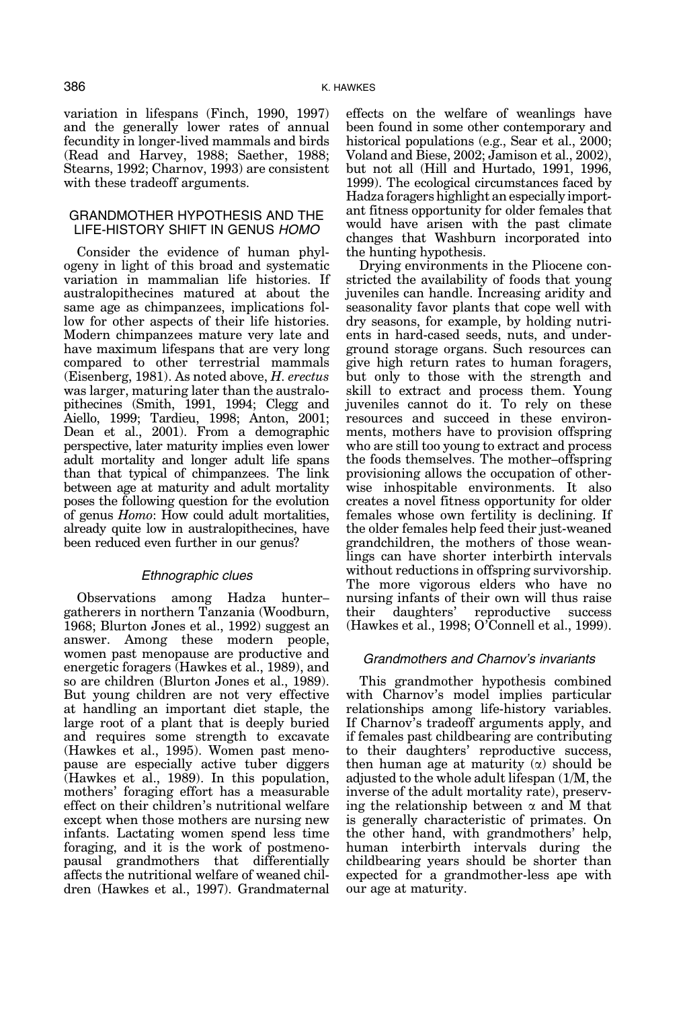variation in lifespans (Finch, 1990, 1997) and the generally lower rates of annual fecundity in longer-lived mammals and birds (Read and Harvey, 1988; Saether, 1988; Stearns, 1992; Charnov, 1993) are consistent with these tradeoff arguments.

# GRANDMOTHER HYPOTHESIS AND THE LIFE-HISTORY SHIFT IN GENUS HOMO

Consider the evidence of human phylogeny in light of this broad and systematic variation in mammalian life histories. If australopithecines matured at about the same age as chimpanzees, implications follow for other aspects of their life histories. Modern chimpanzees mature very late and have maximum lifespans that are very long compared to other terrestrial mammals (Eisenberg, 1981). As noted above, H. erectus was larger, maturing later than the australopithecines (Smith, 1991, 1994; Clegg and Aiello, 1999; Tardieu, 1998; Anton, 2001; Dean et al., 2001). From a demographic perspective, later maturity implies even lower adult mortality and longer adult life spans than that typical of chimpanzees. The link between age at maturity and adult mortality poses the following question for the evolution of genus Homo: How could adult mortalities, already quite low in australopithecines, have been reduced even further in our genus?

## Ethnographic clues

Observations among Hadza hunter– gatherers in northern Tanzania (Woodburn, 1968; Blurton Jones et al., 1992) suggest an answer. Among these modern people, women past menopause are productive and energetic foragers (Hawkes et al., 1989), and so are children (Blurton Jones et al., 1989). But young children are not very effective at handling an important diet staple, the large root of a plant that is deeply buried and requires some strength to excavate (Hawkes et al., 1995). Women past menopause are especially active tuber diggers (Hawkes et al., 1989). In this population, mothers' foraging effort has a measurable effect on their children's nutritional welfare except when those mothers are nursing new infants. Lactating women spend less time foraging, and it is the work of postmenopausal grandmothers that differentially affects the nutritional welfare of weaned children (Hawkes et al., 1997). Grandmaternal

effects on the welfare of weanlings have been found in some other contemporary and historical populations (e.g., Sear et al., 2000; Voland and Biese, 2002; Jamison et al., 2002), but not all (Hill and Hurtado, 1991, 1996, 1999). The ecological circumstances faced by Hadza foragers highlight an especially important fitness opportunity for older females that would have arisen with the past climate changes that Washburn incorporated into the hunting hypothesis.

Drying environments in the Pliocene constricted the availability of foods that young juveniles can handle. Increasing aridity and seasonality favor plants that cope well with dry seasons, for example, by holding nutrients in hard-cased seeds, nuts, and underground storage organs. Such resources can give high return rates to human foragers, but only to those with the strength and skill to extract and process them. Young juveniles cannot do it. To rely on these resources and succeed in these environments, mothers have to provision offspring who are still too young to extract and process the foods themselves. The mother–offspring provisioning allows the occupation of otherwise inhospitable environments. It also creates a novel fitness opportunity for older females whose own fertility is declining. If the older females help feed their just-weaned grandchildren, the mothers of those weanlings can have shorter interbirth intervals without reductions in offspring survivorship. The more vigorous elders who have no nursing infants of their own will thus raise their daughters' reproductive success (Hawkes et al., 1998; O'Connell et al., 1999).

## Grandmothers and Charnov's invariants

This grandmother hypothesis combined with Charnov's model implies particular relationships among life-history variables. If Charnov's tradeoff arguments apply, and if females past childbearing are contributing to their daughters' reproductive success, then human age at maturity  $(\alpha)$  should be adjusted to the whole adult lifespan (1/M, the inverse of the adult mortality rate), preserving the relationship between  $\alpha$  and M that is generally characteristic of primates. On the other hand, with grandmothers' help, human interbirth intervals during the childbearing years should be shorter than expected for a grandmother-less ape with our age at maturity.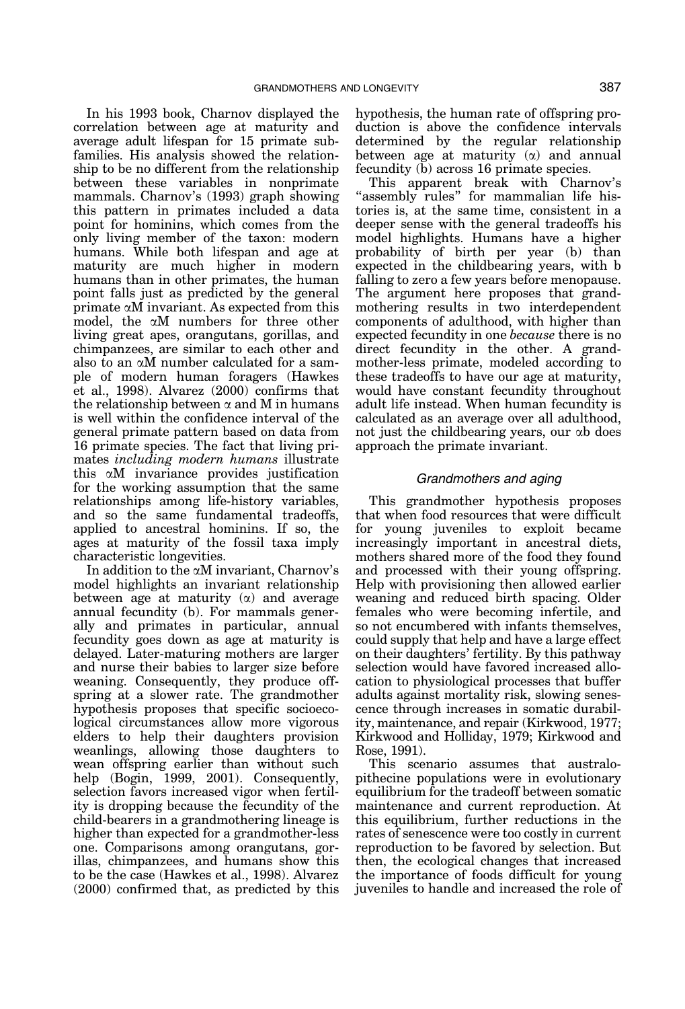In his 1993 book, Charnov displayed the correlation between age at maturity and average adult lifespan for 15 primate subfamilies. His analysis showed the relationship to be no different from the relationship between these variables in nonprimate mammals. Charnov's (1993) graph showing this pattern in primates included a data point for hominins, which comes from the only living member of the taxon: modern humans. While both lifespan and age at maturity are much higher in modern humans than in other primates, the human point falls just as predicted by the general primate  $\alpha$ M invariant. As expected from this model, the aM numbers for three other living great apes, orangutans, gorillas, and chimpanzees, are similar to each other and also to an aM number calculated for a sample of modern human foragers (Hawkes et al., 1998). Alvarez (2000) confirms that the relationship between  $\alpha$  and M in humans is well within the confidence interval of the general primate pattern based on data from 16 primate species. The fact that living primates including modern humans illustrate this aM invariance provides justification for the working assumption that the same relationships among life-history variables, and so the same fundamental tradeoffs, applied to ancestral hominins. If so, the ages at maturity of the fossil taxa imply characteristic longevities.

In addition to the  $\alpha$ M invariant, Charnov's model highlights an invariant relationship between age at maturity  $(\alpha)$  and average annual fecundity (b). For mammals generally and primates in particular, annual fecundity goes down as age at maturity is delayed. Later-maturing mothers are larger and nurse their babies to larger size before weaning. Consequently, they produce offspring at a slower rate. The grandmother hypothesis proposes that specific socioecological circumstances allow more vigorous elders to help their daughters provision weanlings, allowing those daughters to wean offspring earlier than without such help (Bogin, 1999, 2001). Consequently, selection favors increased vigor when fertility is dropping because the fecundity of the child-bearers in a grandmothering lineage is higher than expected for a grandmother-less one. Comparisons among orangutans, gorillas, chimpanzees, and humans show this to be the case (Hawkes et al., 1998). Alvarez (2000) confirmed that, as predicted by this

hypothesis, the human rate of offspring production is above the confidence intervals determined by the regular relationship between age at maturity  $(\alpha)$  and annual fecundity (b) across 16 primate species.

This apparent break with Charnov's "assembly rules" for mammalian life histories is, at the same time, consistent in a deeper sense with the general tradeoffs his model highlights. Humans have a higher probability of birth per year (b) than expected in the childbearing years, with b falling to zero a few years before menopause. The argument here proposes that grandmothering results in two interdependent components of adulthood, with higher than expected fecundity in one because there is no direct fecundity in the other. A grandmother-less primate, modeled according to these tradeoffs to have our age at maturity, would have constant fecundity throughout adult life instead. When human fecundity is calculated as an average over all adulthood, not just the childbearing years, our ab does approach the primate invariant.

## Grandmothers and aging

This grandmother hypothesis proposes that when food resources that were difficult for young juveniles to exploit became increasingly important in ancestral diets, mothers shared more of the food they found and processed with their young offspring. Help with provisioning then allowed earlier weaning and reduced birth spacing. Older females who were becoming infertile, and so not encumbered with infants themselves, could supply that help and have a large effect on their daughters' fertility. By this pathway selection would have favored increased allocation to physiological processes that buffer adults against mortality risk, slowing senescence through increases in somatic durability, maintenance, and repair (Kirkwood, 1977; Kirkwood and Holliday, 1979; Kirkwood and Rose, 1991).

This scenario assumes that australopithecine populations were in evolutionary equilibrium for the tradeoff between somatic maintenance and current reproduction. At this equilibrium, further reductions in the rates of senescence were too costly in current reproduction to be favored by selection. But then, the ecological changes that increased the importance of foods difficult for young juveniles to handle and increased the role of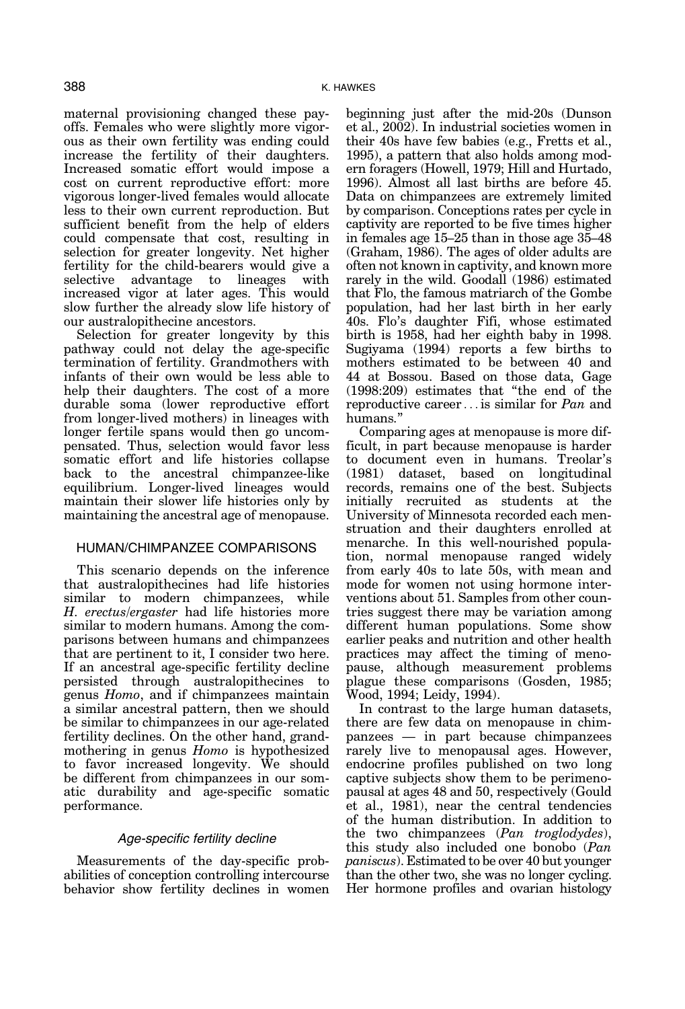maternal provisioning changed these payoffs. Females who were slightly more vigorous as their own fertility was ending could increase the fertility of their daughters. Increased somatic effort would impose a cost on current reproductive effort: more vigorous longer-lived females would allocate less to their own current reproduction. But sufficient benefit from the help of elders could compensate that cost, resulting in selection for greater longevity. Net higher fertility for the child-bearers would give a selective advantage to lineages with increased vigor at later ages. This would slow further the already slow life history of our australopithecine ancestors.

Selection for greater longevity by this pathway could not delay the age-specific termination of fertility. Grandmothers with infants of their own would be less able to help their daughters. The cost of a more durable soma (lower reproductive effort from longer-lived mothers) in lineages with longer fertile spans would then go uncompensated. Thus, selection would favor less somatic effort and life histories collapse back to the ancestral chimpanzee-like equilibrium. Longer-lived lineages would maintain their slower life histories only by maintaining the ancestral age of menopause.

## HUMAN/CHIMPANZEE COMPARISONS

This scenario depends on the inference that australopithecines had life histories similar to modern chimpanzees, while H. erectus/ergaster had life histories more similar to modern humans. Among the comparisons between humans and chimpanzees that are pertinent to it, I consider two here. If an ancestral age-specific fertility decline persisted through australopithecines to genus Homo, and if chimpanzees maintain a similar ancestral pattern, then we should be similar to chimpanzees in our age-related fertility declines. On the other hand, grandmothering in genus Homo is hypothesized to favor increased longevity. We should be different from chimpanzees in our somatic durability and age-specific somatic performance.

#### Age-specific fertility decline

Measurements of the day-specific probabilities of conception controlling intercourse behavior show fertility declines in women beginning just after the mid-20s (Dunson et al., 2002). In industrial societies women in their 40s have few babies (e.g., Fretts et al., 1995), a pattern that also holds among modern foragers (Howell, 1979; Hill and Hurtado, 1996). Almost all last births are before 45. Data on chimpanzees are extremely limited by comparison. Conceptions rates per cycle in captivity are reported to be five times higher in females age 15–25 than in those age 35–48 (Graham, 1986). The ages of older adults are often not known in captivity, and known more rarely in the wild. Goodall (1986) estimated that Flo, the famous matriarch of the Gombe population, had her last birth in her early 40s. Flo's daughter Fifi, whose estimated birth is 1958, had her eighth baby in 1998. Sugiyama (1994) reports a few births to mothers estimated to be between 40 and 44 at Bossou. Based on those data, Gage (1998:209) estimates that ''the end of the reproductive career ... is similar for Pan and humans.''

Comparing ages at menopause is more difficult, in part because menopause is harder to document even in humans. Treolar's (1981) dataset, based on longitudinal records, remains one of the best. Subjects initially recruited as students at the University of Minnesota recorded each menstruation and their daughters enrolled at menarche. In this well-nourished population, normal menopause ranged widely from early 40s to late 50s, with mean and mode for women not using hormone interventions about 51. Samples from other countries suggest there may be variation among different human populations. Some show earlier peaks and nutrition and other health practices may affect the timing of menopause, although measurement problems plague these comparisons (Gosden, 1985; Wood, 1994; Leidy, 1994).

In contrast to the large human datasets, there are few data on menopause in chimpanzees — in part because chimpanzees rarely live to menopausal ages. However, endocrine profiles published on two long captive subjects show them to be perimenopausal at ages 48 and 50, respectively (Gould et al., 1981), near the central tendencies of the human distribution. In addition to the two chimpanzees (Pan troglodydes), this study also included one bonobo (Pan paniscus). Estimated to be over 40 but younger than the other two, she was no longer cycling. Her hormone profiles and ovarian histology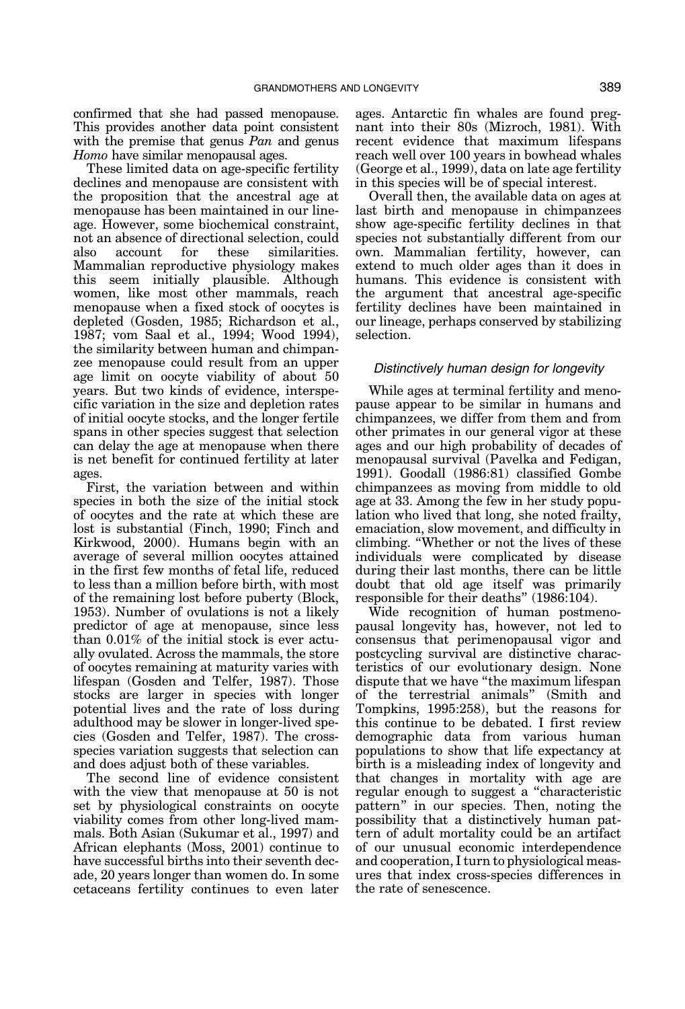confirmed that she had passed menopause. This provides another data point consistent with the premise that genus *Pan* and genus Homo have similar menopausal ages.

These limited data on age-specific fertility declines and menopause are consistent with the proposition that the ancestral age at menopause has been maintained in our lineage. However, some biochemical constraint, not an absence of directional selection, could also account for these similarities. Mammalian reproductive physiology makes this seem initially plausible. Although women, like most other mammals, reach menopause when a fixed stock of oocytes is depleted (Gosden, 1985; Richardson et al., 1987; vom Saal et al., 1994; Wood 1994), the similarity between human and chimpanzee menopause could result from an upper age limit on oocyte viability of about 50 years. But two kinds of evidence, interspecific variation in the size and depletion rates of initial oocyte stocks, and the longer fertile spans in other species suggest that selection can delay the age at menopause when there is net benefit for continued fertility at later ages.

First, the variation between and within species in both the size of the initial stock of oocytes and the rate at which these are lost is substantial (Finch, 1990; Finch and Kirkwood, 2000). Humans begin with an average of several million oocytes attained in the first few months of fetal life, reduced to less than a million before birth, with most of the remaining lost before puberty (Block, 1953). Number of ovulations is not a likely predictor of age at menopause, since less than 0.01% of the initial stock is ever actually ovulated. Across the mammals, the store of oocytes remaining at maturity varies with lifespan (Gosden and Telfer, 1987). Those stocks are larger in species with longer potential lives and the rate of loss during adulthood may be slower in longer-lived species (Gosden and Telfer, 1987). The crossspecies variation suggests that selection can and does adjust both of these variables.

The second line of evidence consistent with the view that menopause at 50 is not set by physiological constraints on oocyte viability comes from other long-lived mammals. Both Asian (Sukumar et al., 1997) and African elephants (Moss, 2001) continue to have successful births into their seventh decade, 20 years longer than women do. In some cetaceans fertility continues to even later

ages. Antarctic fin whales are found pregnant into their 80s (Mizroch, 1981). With recent evidence that maximum lifespans reach well over 100 years in bowhead whales (George et al., 1999), data on late age fertility in this species will be of special interest.

Overall then, the available data on ages at last birth and menopause in chimpanzees show age-specific fertility declines in that species not substantially different from our own. Mammalian fertility, however, can extend to much older ages than it does in humans. This evidence is consistent with the argument that ancestral age-specific fertility declines have been maintained in our lineage, perhaps conserved by stabilizing selection.

#### Distinctively human design for longevity

While ages at terminal fertility and menopause appear to be similar in humans and chimpanzees, we differ from them and from other primates in our general vigor at these ages and our high probability of decades of menopausal survival (Pavelka and Fedigan, 1991). Goodall (1986:81) classified Gombe chimpanzees as moving from middle to old age at 33. Among the few in her study population who lived that long, she noted frailty, emaciation, slow movement, and difficulty in climbing. ''Whether or not the lives of these individuals were complicated by disease during their last months, there can be little doubt that old age itself was primarily responsible for their deaths'' (1986:104).

Wide recognition of human postmenopausal longevity has, however, not led to consensus that perimenopausal vigor and postcycling survival are distinctive characteristics of our evolutionary design. None dispute that we have ''the maximum lifespan of the terrestrial animals'' (Smith and Tompkins, 1995:258), but the reasons for this continue to be debated. I first review demographic data from various human populations to show that life expectancy at birth is a misleading index of longevity and that changes in mortality with age are regular enough to suggest a ''characteristic pattern'' in our species. Then, noting the possibility that a distinctively human pattern of adult mortality could be an artifact of our unusual economic interdependence and cooperation, I turn to physiological measures that index cross-species differences in the rate of senescence.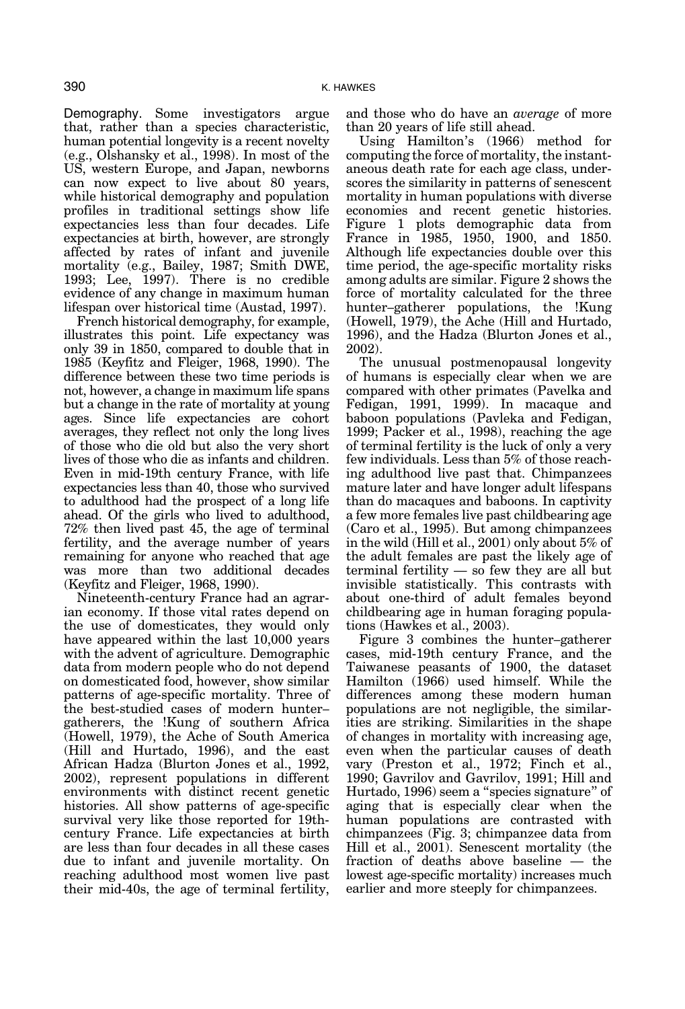Demography. Some investigators argue that, rather than a species characteristic, human potential longevity is a recent novelty (e.g., Olshansky et al., 1998). In most of the US, western Europe, and Japan, newborns can now expect to live about 80 years, while historical demography and population profiles in traditional settings show life expectancies less than four decades. Life expectancies at birth, however, are strongly affected by rates of infant and juvenile mortality (e.g., Bailey, 1987; Smith DWE, 1993; Lee, 1997). There is no credible evidence of any change in maximum human lifespan over historical time (Austad, 1997).

French historical demography, for example, illustrates this point. Life expectancy was only 39 in 1850, compared to double that in 1985 (Keyfitz and Fleiger, 1968, 1990). The difference between these two time periods is not, however, a change in maximum life spans but a change in the rate of mortality at young ages. Since life expectancies are cohort averages, they reflect not only the long lives of those who die old but also the very short lives of those who die as infants and children. Even in mid-19th century France, with life expectancies less than 40, those who survived to adulthood had the prospect of a long life ahead. Of the girls who lived to adulthood, 72% then lived past 45, the age of terminal fertility, and the average number of years remaining for anyone who reached that age was more than two additional decades (Keyfitz and Fleiger, 1968, 1990).

Nineteenth-century France had an agrarian economy. If those vital rates depend on the use of domesticates, they would only have appeared within the last 10,000 years with the advent of agriculture. Demographic data from modern people who do not depend on domesticated food, however, show similar patterns of age-specific mortality. Three of the best-studied cases of modern hunter– gatherers, the !Kung of southern Africa (Howell, 1979), the Ache of South America (Hill and Hurtado, 1996), and the east African Hadza (Blurton Jones et al., 1992, 2002), represent populations in different environments with distinct recent genetic histories. All show patterns of age-specific survival very like those reported for 19thcentury France. Life expectancies at birth are less than four decades in all these cases due to infant and juvenile mortality. On reaching adulthood most women live past their mid-40s, the age of terminal fertility,

and those who do have an average of more than 20 years of life still ahead.

Using Hamilton's (1966) method for computing the force of mortality, the instantaneous death rate for each age class, underscores the similarity in patterns of senescent mortality in human populations with diverse economies and recent genetic histories. Figure 1 plots demographic data from France in 1985, 1950, 1900, and 1850. Although life expectancies double over this time period, the age-specific mortality risks among adults are similar. Figure 2 shows the force of mortality calculated for the three hunter–gatherer populations, the !Kung (Howell, 1979), the Ache (Hill and Hurtado, 1996), and the Hadza (Blurton Jones et al., 2002).

The unusual postmenopausal longevity of humans is especially clear when we are compared with other primates (Pavelka and Fedigan, 1991, 1999). In macaque and baboon populations (Pavleka and Fedigan, 1999; Packer et al., 1998), reaching the age of terminal fertility is the luck of only a very few individuals. Less than 5% of those reaching adulthood live past that. Chimpanzees mature later and have longer adult lifespans than do macaques and baboons. In captivity a few more females live past childbearing age (Caro et al., 1995). But among chimpanzees in the wild (Hill et al., 2001) only about 5% of the adult females are past the likely age of terminal fertility — so few they are all but invisible statistically. This contrasts with about one-third of adult females beyond childbearing age in human foraging populations (Hawkes et al., 2003).

Figure 3 combines the hunter–gatherer cases, mid-19th century France, and the Taiwanese peasants of 1900, the dataset Hamilton (1966) used himself. While the differences among these modern human populations are not negligible, the similarities are striking. Similarities in the shape of changes in mortality with increasing age, even when the particular causes of death vary (Preston et al., 1972; Finch et al., 1990; Gavrilov and Gavrilov, 1991; Hill and Hurtado, 1996) seem a ''species signature'' of aging that is especially clear when the human populations are contrasted with chimpanzees (Fig. 3; chimpanzee data from Hill et al., 2001). Senescent mortality (the fraction of deaths above baseline — the lowest age-specific mortality) increases much earlier and more steeply for chimpanzees.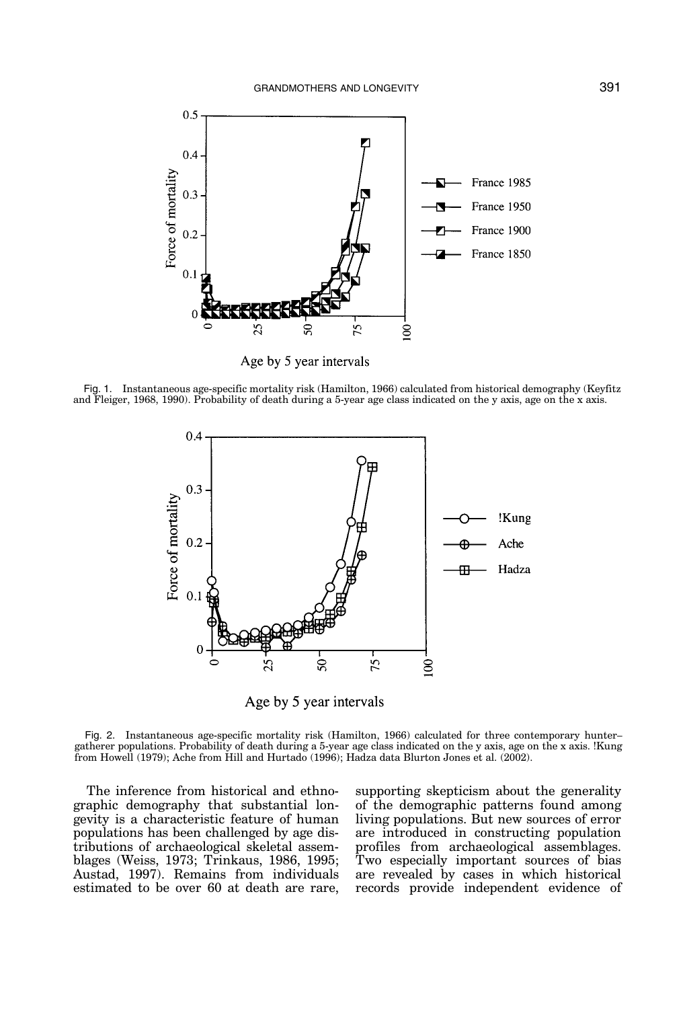

Age by 5 year intervals

Fig. 1. Instantaneous age-specific mortality risk (Hamilton, 1966) calculated from historical demography (Keyfitz and Fleiger, 1968, 1990). Probability of death during a 5-year age class indicated on the y axis, age on the x axis.



Age by 5 year intervals

Fig. 2. Instantaneous age-specific mortality risk (Hamilton, 1966) calculated for three contemporary hunter– gatherer populations. Probability of death during a 5-year age class indicated on the y axis, age on the x axis. !Kung from Howell (1979); Ache from Hill and Hurtado (1996); Hadza data Blurton Jones et al. (2002).

The inference from historical and ethnographic demography that substantial longevity is a characteristic feature of human populations has been challenged by age distributions of archaeological skeletal assemblages (Weiss, 1973; Trinkaus, 1986, 1995; Austad, 1997). Remains from individuals estimated to be over 60 at death are rare, supporting skepticism about the generality of the demographic patterns found among living populations. But new sources of error are introduced in constructing population profiles from archaeological assemblages. Two especially important sources of bias are revealed by cases in which historical records provide independent evidence of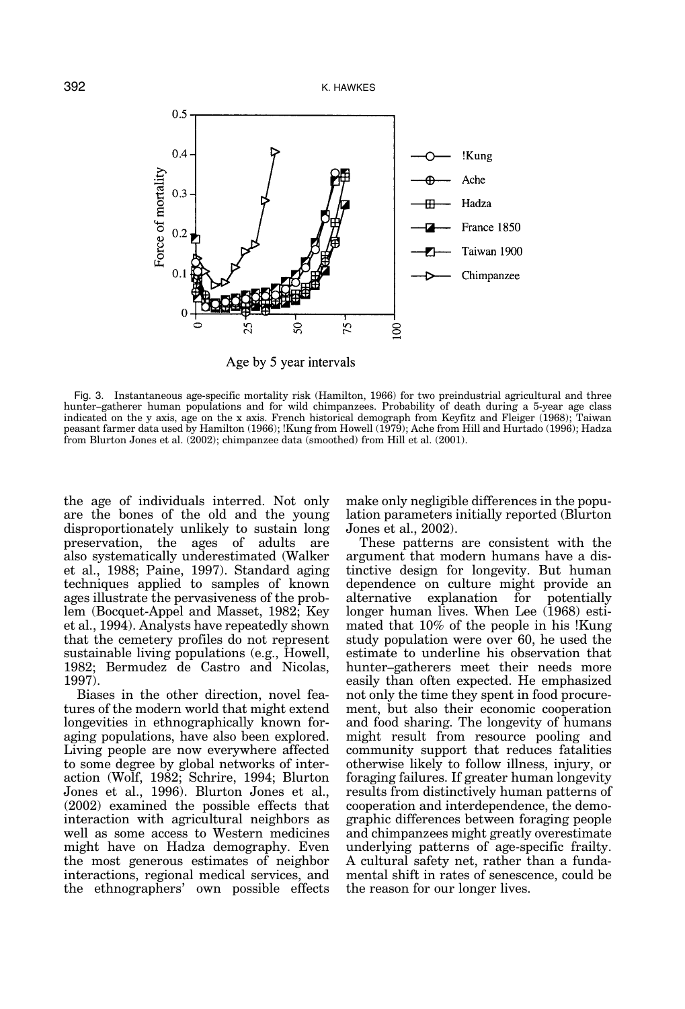

Age by 5 year intervals

Fig. 3. Instantaneous age-specific mortality risk (Hamilton, 1966) for two preindustrial agricultural and three hunter–gatherer human populations and for wild chimpanzees. Probability of death during a 5-year age class indicated on the y axis, age on the x axis. French historical demograph from Keyfitz and Fleiger (1968); Taiwan peasant farmer data used by Hamilton (1966); !Kung from Howell (1979); Ache from Hill and Hurtado (1996); Hadza from Blurton Jones et al. (2002); chimpanzee data (smoothed) from Hill et al. (2001).

the age of individuals interred. Not only are the bones of the old and the young disproportionately unlikely to sustain long preservation, the ages of adults are also systematically underestimated (Walker et al., 1988; Paine, 1997). Standard aging techniques applied to samples of known ages illustrate the pervasiveness of the problem (Bocquet-Appel and Masset, 1982; Key et al., 1994). Analysts have repeatedly shown that the cemetery profiles do not represent sustainable living populations (e.g., Howell, 1982; Bermudez de Castro and Nicolas, 1997).

Biases in the other direction, novel features of the modern world that might extend longevities in ethnographically known foraging populations, have also been explored. Living people are now everywhere affected to some degree by global networks of interaction (Wolf, 1982; Schrire, 1994; Blurton Jones et al., 1996). Blurton Jones et al., (2002) examined the possible effects that interaction with agricultural neighbors as well as some access to Western medicines might have on Hadza demography. Even the most generous estimates of neighbor interactions, regional medical services, and the ethnographers' own possible effects make only negligible differences in the population parameters initially reported (Blurton Jones et al., 2002).

These patterns are consistent with the argument that modern humans have a distinctive design for longevity. But human dependence on culture might provide an alternative explanation for potentially longer human lives. When Lee (1968) estimated that 10% of the people in his !Kung study population were over 60, he used the estimate to underline his observation that hunter–gatherers meet their needs more easily than often expected. He emphasized not only the time they spent in food procurement, but also their economic cooperation and food sharing. The longevity of humans might result from resource pooling and community support that reduces fatalities otherwise likely to follow illness, injury, or foraging failures. If greater human longevity results from distinctively human patterns of cooperation and interdependence, the demographic differences between foraging people and chimpanzees might greatly overestimate underlying patterns of age-specific frailty. A cultural safety net, rather than a fundamental shift in rates of senescence, could be the reason for our longer lives.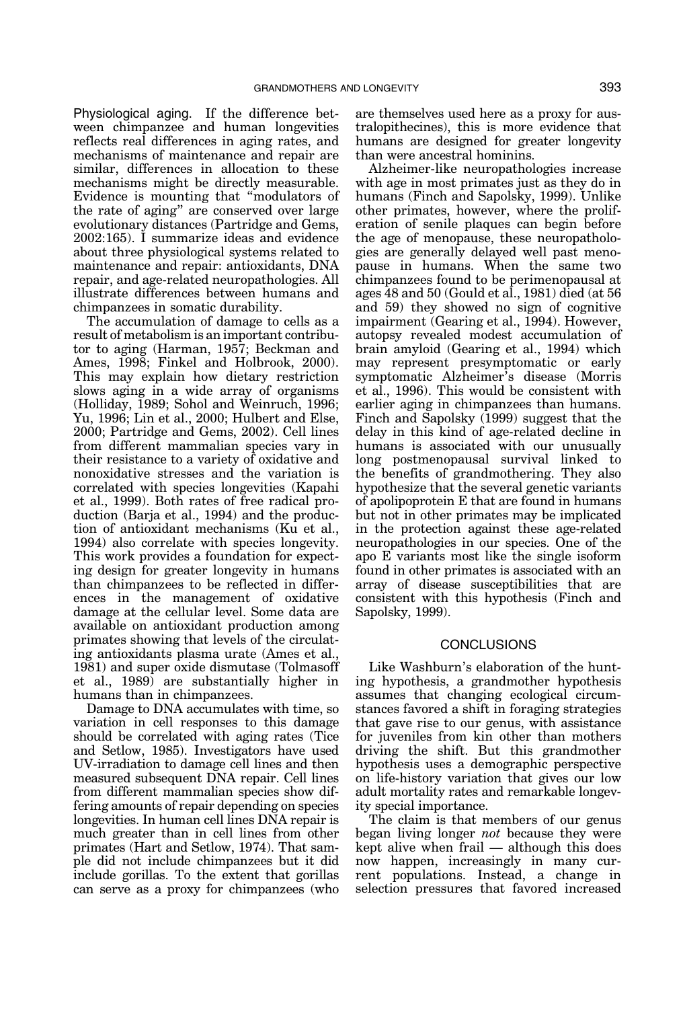Physiological aging. If the difference between chimpanzee and human longevities reflects real differences in aging rates, and mechanisms of maintenance and repair are similar, differences in allocation to these mechanisms might be directly measurable. Evidence is mounting that ''modulators of the rate of aging'' are conserved over large evolutionary distances (Partridge and Gems, 2002:165). I summarize ideas and evidence about three physiological systems related to maintenance and repair: antioxidants, DNA repair, and age-related neuropathologies. All illustrate differences between humans and chimpanzees in somatic durability.

The accumulation of damage to cells as a result of metabolism is an important contributor to aging (Harman, 1957; Beckman and Ames, 1998; Finkel and Holbrook, 2000). This may explain how dietary restriction slows aging in a wide array of organisms (Holliday, 1989; Sohol and Weinruch, 1996; Yu, 1996; Lin et al., 2000; Hulbert and Else, 2000; Partridge and Gems, 2002). Cell lines from different mammalian species vary in their resistance to a variety of oxidative and nonoxidative stresses and the variation is correlated with species longevities (Kapahi et al., 1999). Both rates of free radical production (Barja et al., 1994) and the production of antioxidant mechanisms (Ku et al., 1994) also correlate with species longevity. This work provides a foundation for expecting design for greater longevity in humans than chimpanzees to be reflected in differences in the management of oxidative damage at the cellular level. Some data are available on antioxidant production among primates showing that levels of the circulating antioxidants plasma urate (Ames et al., 1981) and super oxide dismutase (Tolmasoff et al., 1989) are substantially higher in humans than in chimpanzees.

Damage to DNA accumulates with time, so variation in cell responses to this damage should be correlated with aging rates (Tice and Setlow, 1985). Investigators have used UV-irradiation to damage cell lines and then measured subsequent DNA repair. Cell lines from different mammalian species show differing amounts of repair depending on species longevities. In human cell lines DNA repair is much greater than in cell lines from other primates (Hart and Setlow, 1974). That sample did not include chimpanzees but it did include gorillas. To the extent that gorillas can serve as a proxy for chimpanzees (who

are themselves used here as a proxy for australopithecines), this is more evidence that humans are designed for greater longevity than were ancestral hominins.

Alzheimer-like neuropathologies increase with age in most primates just as they do in humans (Finch and Sapolsky, 1999). Unlike other primates, however, where the proliferation of senile plaques can begin before the age of menopause, these neuropathologies are generally delayed well past menopause in humans. When the same two chimpanzees found to be perimenopausal at ages 48 and 50 (Gould et al., 1981) died (at 56 and 59) they showed no sign of cognitive impairment (Gearing et al., 1994). However, autopsy revealed modest accumulation of brain amyloid (Gearing et al., 1994) which may represent presymptomatic or early symptomatic Alzheimer's disease (Morris et al., 1996). This would be consistent with earlier aging in chimpanzees than humans. Finch and Sapolsky (1999) suggest that the delay in this kind of age-related decline in humans is associated with our unusually long postmenopausal survival linked to the benefits of grandmothering. They also hypothesize that the several genetic variants of apolipoprotein E that are found in humans but not in other primates may be implicated in the protection against these age-related neuropathologies in our species. One of the apo E variants most like the single isoform found in other primates is associated with an array of disease susceptibilities that are consistent with this hypothesis (Finch and Sapolsky, 1999).

### **CONCLUSIONS**

Like Washburn's elaboration of the hunting hypothesis, a grandmother hypothesis assumes that changing ecological circumstances favored a shift in foraging strategies that gave rise to our genus, with assistance for juveniles from kin other than mothers driving the shift. But this grandmother hypothesis uses a demographic perspective on life-history variation that gives our low adult mortality rates and remarkable longevity special importance.

The claim is that members of our genus began living longer not because they were kept alive when frail — although this does now happen, increasingly in many current populations. Instead, a change in selection pressures that favored increased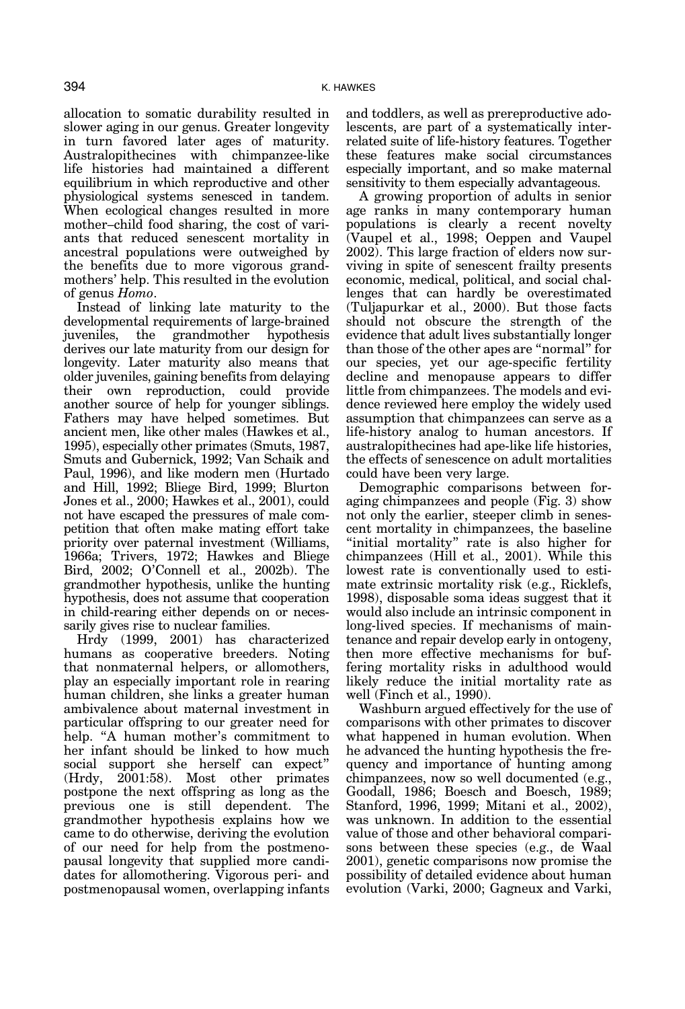allocation to somatic durability resulted in slower aging in our genus. Greater longevity in turn favored later ages of maturity. Australopithecines with chimpanzee-like life histories had maintained a different equilibrium in which reproductive and other physiological systems senesced in tandem. When ecological changes resulted in more mother–child food sharing, the cost of variants that reduced senescent mortality in ancestral populations were outweighed by the benefits due to more vigorous grandmothers' help. This resulted in the evolution of genus Homo.

Instead of linking late maturity to the developmental requirements of large-brained juveniles, the grandmother hypothesis derives our late maturity from our design for longevity. Later maturity also means that older juveniles, gaining benefits from delaying their own reproduction, could provide another source of help for younger siblings. Fathers may have helped sometimes. But ancient men, like other males (Hawkes et al., 1995), especially other primates (Smuts, 1987, Smuts and Gubernick, 1992; Van Schaik and Paul, 1996), and like modern men (Hurtado and Hill, 1992; Bliege Bird, 1999; Blurton Jones et al., 2000; Hawkes et al., 2001), could not have escaped the pressures of male competition that often make mating effort take priority over paternal investment (Williams, 1966a; Trivers, 1972; Hawkes and Bliege Bird, 2002; O'Connell et al., 2002b). The grandmother hypothesis, unlike the hunting hypothesis, does not assume that cooperation in child-rearing either depends on or necessarily gives rise to nuclear families.

Hrdy (1999, 2001) has characterized humans as cooperative breeders. Noting that nonmaternal helpers, or allomothers, play an especially important role in rearing human children, she links a greater human ambivalence about maternal investment in particular offspring to our greater need for help. "A human mother's commitment to her infant should be linked to how much social support she herself can expect'' (Hrdy, 2001:58). Most other primates postpone the next offspring as long as the previous one is still dependent. The grandmother hypothesis explains how we came to do otherwise, deriving the evolution of our need for help from the postmenopausal longevity that supplied more candidates for allomothering. Vigorous peri- and postmenopausal women, overlapping infants

and toddlers, as well as prereproductive adolescents, are part of a systematically interrelated suite of life-history features. Together these features make social circumstances especially important, and so make maternal sensitivity to them especially advantageous.

A growing proportion of adults in senior age ranks in many contemporary human populations is clearly a recent novelty (Vaupel et al., 1998; Oeppen and Vaupel 2002). This large fraction of elders now surviving in spite of senescent frailty presents economic, medical, political, and social challenges that can hardly be overestimated (Tuljapurkar et al., 2000). But those facts should not obscure the strength of the evidence that adult lives substantially longer than those of the other apes are ''normal'' for our species, yet our age-specific fertility decline and menopause appears to differ little from chimpanzees. The models and evidence reviewed here employ the widely used assumption that chimpanzees can serve as a life-history analog to human ancestors. If australopithecines had ape-like life histories, the effects of senescence on adult mortalities could have been very large.

Demographic comparisons between foraging chimpanzees and people (Fig. 3) show not only the earlier, steeper climb in senescent mortality in chimpanzees, the baseline ''initial mortality'' rate is also higher for chimpanzees (Hill et al., 2001). While this lowest rate is conventionally used to estimate extrinsic mortality risk (e.g., Ricklefs, 1998), disposable soma ideas suggest that it would also include an intrinsic component in long-lived species. If mechanisms of maintenance and repair develop early in ontogeny, then more effective mechanisms for buffering mortality risks in adulthood would likely reduce the initial mortality rate as well (Finch et al., 1990).

Washburn argued effectively for the use of comparisons with other primates to discover what happened in human evolution. When he advanced the hunting hypothesis the frequency and importance of hunting among chimpanzees, now so well documented (e.g., Goodall, 1986; Boesch and Boesch, 1989; Stanford, 1996, 1999; Mitani et al., 2002), was unknown. In addition to the essential value of those and other behavioral comparisons between these species (e.g., de Waal 2001), genetic comparisons now promise the possibility of detailed evidence about human evolution (Varki, 2000; Gagneux and Varki,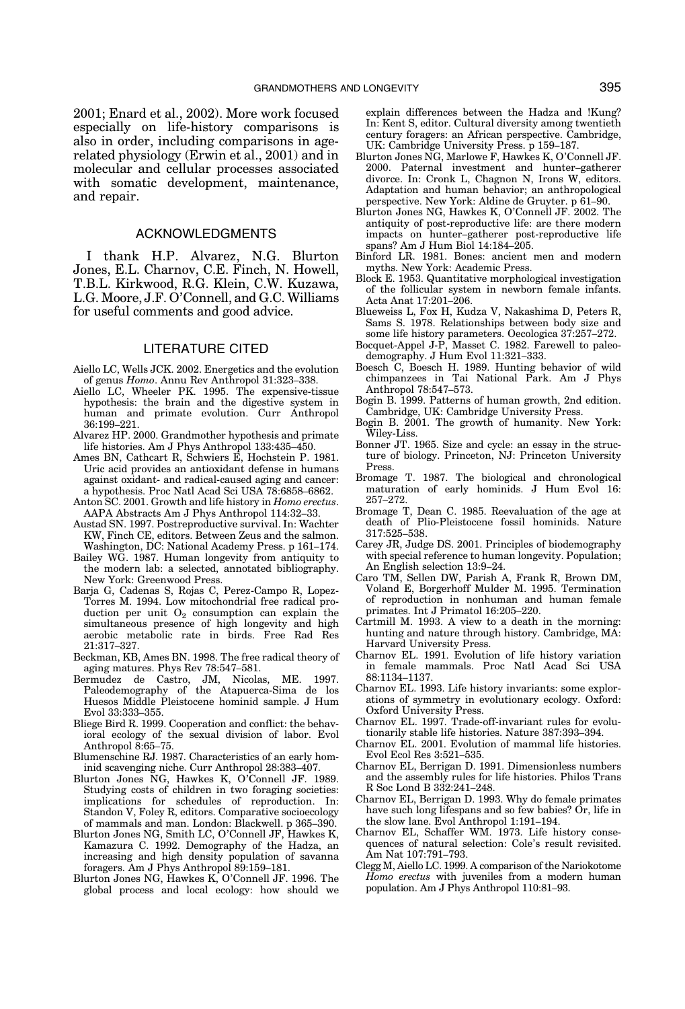2001; Enard et al., 2002). More work focused especially on life-history comparisons is also in order, including comparisons in agerelated physiology (Erwin et al., 2001) and in molecular and cellular processes associated with somatic development, maintenance, and repair.

#### ACKNOWLEDGMENTS

I thank H.P. Alvarez, N.G. Blurton Jones, E.L. Charnov, C.E. Finch, N. Howell, T.B.L. Kirkwood, R.G. Klein, C.W. Kuzawa, L.G. Moore, J.F. O'Connell, and G.C. Williams for useful comments and good advice.

#### LITERATURE CITED

- Aiello LC, Wells JCK. 2002. Energetics and the evolution of genus Homo. Annu Rev Anthropol 31:323–338.
- Aiello LC, Wheeler PK. 1995. The expensive-tissue hypothesis: the brain and the digestive system in human and primate evolution. Curr Anthropol 36:199–221.
- Alvarez HP. 2000. Grandmother hypothesis and primate life histories. Am J Phys Anthropol 133:435–450.
- Ames BN, Cathcart R, Schwiers E, Hochstein P. 1981. Uric acid provides an antioxidant defense in humans against oxidant- and radical-caused aging and cancer: a hypothesis. Proc Natl Acad Sci USA 78:6858–6862.
- Anton SC. 2001. Growth and life history in Homo erectus. AAPA Abstracts Am J Phys Anthropol 114:32–33.
- Austad SN. 1997. Postreproductive survival. In: Wachter KW, Finch CE, editors. Between Zeus and the salmon. Washington, DC: National Academy Press. p 161–174.
- Bailey WG. 1987. Human longevity from antiquity to the modern lab: a selected, annotated bibliography. New York: Greenwood Press.
- Barja G, Cadenas S, Rojas C, Perez-Campo R, Lopez-Torres M. 1994. Low mitochondrial free radical production per unit  $O_2$  consumption can explain the simultaneous presence of high longevity and high aerobic metabolic rate in birds. Free Rad Res 21:317–327.
- Beckman, KB, Ames BN. 1998. The free radical theory of aging matures. Phys Rev 78:547–581.
- Bermudez de Castro, JM, Nicolas, ME. 1997. Paleodemography of the Atapuerca-Sima de los Huesos Middle Pleistocene hominid sample. J Hum Evol 33:333–355.
- Bliege Bird R. 1999. Cooperation and conflict: the behavioral ecology of the sexual division of labor. Evol Anthropol 8:65–75.
- Blumenschine RJ. 1987. Characteristics of an early hominid scavenging niche. Curr Anthropol 28:383–407.
- Blurton Jones NG, Hawkes K, O'Connell JF. 1989. Studying costs of children in two foraging societies: implications for schedules of reproduction. In: Standon V, Foley R, editors. Comparative socioecology of mammals and man. London: Blackwell. p 365–390.
- Blurton Jones NG, Smith LC, O'Connell JF, Hawkes K, Kamazura C. 1992. Demography of the Hadza, an increasing and high density population of savanna foragers. Am J Phys Anthropol 89:159–181.
- Blurton Jones NG, Hawkes K, O'Connell JF. 1996. The global process and local ecology: how should we

explain differences between the Hadza and !Kung? In: Kent S, editor. Cultural diversity among twentieth century foragers: an African perspective. Cambridge, UK: Cambridge University Press. p 159–187.

- Blurton Jones NG, Marlowe F, Hawkes K, O'Connell JF. 2000. Paternal investment and hunter–gatherer divorce. In: Cronk L, Chagnon N, Irons W, editors. Adaptation and human behavior; an anthropological perspective. New York: Aldine de Gruyter. p 61–90.
- Blurton Jones NG, Hawkes K, O'Connell JF. 2002. The antiquity of post-reproductive life: are there modern impacts on hunter–gatherer post-reproductive life spans? Am J Hum Biol 14:184–205.
- Binford LR. 1981. Bones: ancient men and modern myths. New York: Academic Press.
- Block E. 1953. Quantitative morphological investigation of the follicular system in newborn female infants. Acta Anat 17:201–206.
- Blueweiss L, Fox H, Kudza V, Nakashima D, Peters R, Sams S. 1978. Relationships between body size and
- some life history parameters. Oecologica 37:257–272. Bocquet-Appel J-P, Masset C. 1982. Farewell to paleodemography. J Hum Evol 11:321–333.
- Boesch C, Boesch H. 1989. Hunting behavior of wild chimpanzees in Tai National Park. Am J Phys Anthropol 78:547–573.
- Bogin B. 1999. Patterns of human growth, 2nd edition. Cambridge, UK: Cambridge University Press.
- Bogin B. 2001. The growth of humanity. New York: Wiley-Liss.
- Bonner JT. 1965. Size and cycle: an essay in the structure of biology. Princeton, NJ: Princeton University Press.
- Bromage T. 1987. The biological and chronological maturation of early hominids. J Hum Evol 16: 257–272.
- Bromage T, Dean C. 1985. Reevaluation of the age at death of Plio-Pleistocene fossil hominids. Nature 317:525–538.
- Carey JR, Judge DS. 2001. Principles of biodemography with special reference to human longevity. Population; An English selection 13:9–24.
- Caro TM, Sellen DW, Parish A, Frank R, Brown DM, Voland E, Borgerhoff Mulder M. 1995. Termination of reproduction in nonhuman and human female primates. Int J Primatol 16:205–220.
- Cartmill M. 1993. A view to a death in the morning: hunting and nature through history. Cambridge, MA: Harvard University Press.
- Charnov EL. 1991. Evolution of life history variation in female mammals. Proc Natl Acad Sci USA 88:1134–1137.
- Charnov EL. 1993. Life history invariants: some explorations of symmetry in evolutionary ecology. Oxford: Oxford University Press.
- Charnov EL. 1997. Trade-off-invariant rules for evolutionarily stable life histories. Nature 387:393–394.
- Charnov EL. 2001. Evolution of mammal life histories. Evol Ecol Res 3:521–535.
- Charnov EL, Berrigan D. 1991. Dimensionless numbers and the assembly rules for life histories. Philos Trans R Soc Lond B 332:241–248.
- Charnov EL, Berrigan D. 1993. Why do female primates have such long lifespans and so few babies? Or, life in the slow lane. Evol Anthropol 1:191–194.
- Charnov EL, Schaffer WM. 1973. Life history consequences of natural selection: Cole's result revisited. Am Nat 107:791–793.
- Clegg M, Aiello LC. 1999. A comparison of the Nariokotome Homo erectus with juveniles from a modern human population. Am J Phys Anthropol 110:81–93.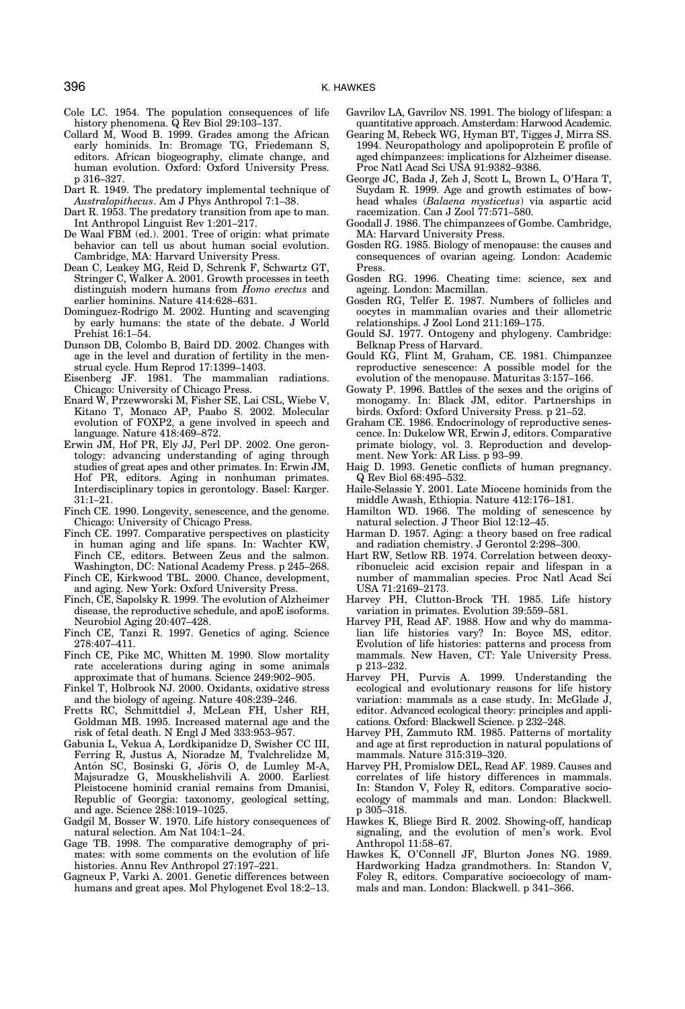- Cole LC. 1954. The population consequences of life history phenomena. Q Rev Biol 29:103–137.
- Collard M, Wood B. 1999. Grades among the African early hominids. In: Bromage TG, Friedemann S, editors. African biogeography, climate change, and human evolution. Oxford: Oxford University Press. p 316–327.
- Dart R. 1949. The predatory implemental technique of Australopithecus. Am J Phys Anthropol 7:1–38.
- Dart R. 1953. The predatory transition from ape to man. Int Anthropol Linguist Rev 1:201–217.
- De Waal FBM (ed.). 2001. Tree of origin: what primate behavior can tell us about human social evolution. Cambridge, MA: Harvard University Press.
- Dean C, Leakey MG, Reid D, Schrenk F, Schwartz GT, Stringer C, Walker A. 2001. Growth processes in teeth distinguish modern humans from Homo erectus and earlier hominins. Nature 414:628–631.
- Dominguez-Rodrigo M. 2002. Hunting and scavenging by early humans: the state of the debate. J World Prehist 16:1–54.
- Dunson DB, Colombo B, Baird DD. 2002. Changes with age in the level and duration of fertility in the menstrual cycle. Hum Reprod 17:1399–1403.
- Eisenberg JF. 1981. The mammalian radiations. Chicago: University of Chicago Press.
- Enard W, Przewworski M, Fisher SE, Lai CSL, Wiebe V, Kitano T, Monaco AP, Paabo S. 2002. Molecular evolution of FOXP2, a gene involved in speech and language. Nature 418:469–872.
- Erwin JM, Hof PR, Ely JJ, Perl DP. 2002. One gerontology: advancing understanding of aging through studies of great apes and other primates. In: Erwin JM, Hof PR, editors. Aging in nonhuman primates. Interdisciplinary topics in gerontology. Basel: Karger. 31:1–21.
- Finch CE. 1990. Longevity, senescence, and the genome. Chicago: University of Chicago Press.
- Finch CE. 1997. Comparative perspectives on plasticity in human aging and life spans. In: Wachter KW, Finch CE, editors. Between Zeus and the salmon. Washington, DC: National Academy Press. p 245–268.
- Finch CE, Kirkwood TBL. 2000. Chance, development, and aging. New York: Oxford University Press.
- Finch, CE, Sapolsky R. 1999. The evolution of Alzheimer disease, the reproductive schedule, and apoE isoforms. Neurobiol Aging 20:407–428.
- Finch CE, Tanzi R. 1997. Genetics of aging. Science 278:407–411.
- Finch CE, Pike MC, Whitten M. 1990. Slow mortality rate accelerations during aging in some animals approximate that of humans. Science 249:902–905.
- Finkel T, Holbrook NJ. 2000. Oxidants, oxidative stress and the biology of ageing. Nature 408:239–246.
- Fretts RC, Schmittdiel J, McLean FH, Usher RH, Goldman MB. 1995. Increased maternal age and the risk of fetal death. N Engl J Med 333:953–957.
- Gabunia L, Vekua A, Lordkipanidze D, Swisher CC III, Ferring R, Justus A, Nioradze M, Tvalchrelidze M,<br>Antón SC, Bosinski G, Jöris O, de Lumley M-A, Majsuradze G, Mouskhelishvili A. 2000. Earliest Pleistocene hominid cranial remains from Dmanisi, Republic of Georgia: taxonomy, geological setting, and age. Science 288:1019–1025.
- Gadgil M, Bosser W. 1970. Life history consequences of natural selection. Am Nat 104:1–24.
- Gage TB. 1998. The comparative demography of primates: with some comments on the evolution of life histories. Annu Rev Anthropol 27:197–221.
- Gagneux P, Varki A. 2001. Genetic differences between humans and great apes. Mol Phylogenet Evol 18:2–13.
- Gavrilov LA, Gavrilov NS. 1991. The biology of lifespan: a quantitative approach. Amsterdam: Harwood Academic.
- Gearing M, Rebeck WG, Hyman BT, Tigges J, Mirra SS. 1994. Neuropathology and apolipoprotein E profile of aged chimpanzees: implications for Alzheimer disease. Proc Natl Acad Sci USA 91:9382-9386.
- George JC, Bada J, Zeh J, Scott L, Brown L, O'Hara T, Suydam R. 1999. Age and growth estimates of bowhead whales (Balaena mysticetus) via aspartic acid racemization. Can J Zool 77:571–580.
- Goodall J. 1986. The chimpanzees of Gombe. Cambridge, MA: Harvard University Press.
- Gosden RG. 1985. Biology of menopause: the causes and consequences of ovarian ageing. London: Academic Press.
- Gosden RG. 1996. Cheating time: science, sex and ageing. London: Macmillan.
- Gosden RG, Telfer E. 1987. Numbers of follicles and oocytes in mammalian ovaries and their allometric relationships. J Zool Lond 211:169–175.
- Gould SJ. 1977. Ontogeny and phylogeny. Cambridge: Belknap Press of Harvard.
- Gould KG, Flint M, Graham, CE. 1981. Chimpanzee reproductive senescence: A possible model for the evolution of the menopause. Maturitas 3:157–166.
- Gowaty P. 1996. Battles of the sexes and the origins of monogamy. In: Black JM, editor. Partnerships in birds. Oxford: Oxford University Press. p 21–52.
- Graham CE. 1986. Endocrinology of reproductive senescence. In: Dukelow WR, Erwin J, editors. Comparative primate biology, vol. 3. Reproduction and development. New York: AR Liss. p 93–99.
- Haig D. 1993. Genetic conflicts of human pregnancy. Q Rev Biol 68:495–532.
- Haile-Selassie Y. 2001. Late Miocene hominids from the middle Awash, Ethiopia. Nature 412:176–181.
- Hamilton WD. 1966. The molding of senescence by natural selection. J Theor Biol 12:12–45.
- Harman D. 1957. Aging: a theory based on free radical and radiation chemistry. J Gerontol 2:298–300.
- Hart RW, Setlow RB. 1974. Correlation between deoxyribonucleic acid excision repair and lifespan in a number of mammalian species. Proc Natl Acad Sci USA 71:2169–2173.
- Harvey PH, Clutton-Brock TH. 1985. Life history variation in primates. Evolution 39:559–581.
- Harvey PH, Read AF. 1988. How and why do mammalian life histories vary? In: Boyce MS, editor. Evolution of life histories: patterns and process from mammals. New Haven, CT: Yale University Press. p 213–232.
- Harvey PH, Purvis A. 1999. Understanding the ecological and evolutionary reasons for life history variation: mammals as a case study. In: McGlade J, editor. Advanced ecological theory: principles and applications. Oxford: Blackwell Science. p 232–248.
- Harvey PH, Zammuto RM. 1985. Patterns of mortality and age at first reproduction in natural populations of mammals. Nature 315:319–320.
- Harvey PH, Promislow DEL, Read AF. 1989. Causes and correlates of life history differences in mammals. In: Standon V, Foley R, editors. Comparative socio-ecology of mammals and man. London: Blackwell. p 305–318.
- Hawkes K, Bliege Bird R. 2002. Showing-off, handicap signaling, and the evolution of men's work. Evol Anthropol 11:58–67.
- Hawkes K, O'Connell JF, Blurton Jones NG. 1989. Hardworking Hadza grandmothers. In: Standon V, Foley R, editors. Comparative socioecology of mammals and man. London: Blackwell. p 341–366.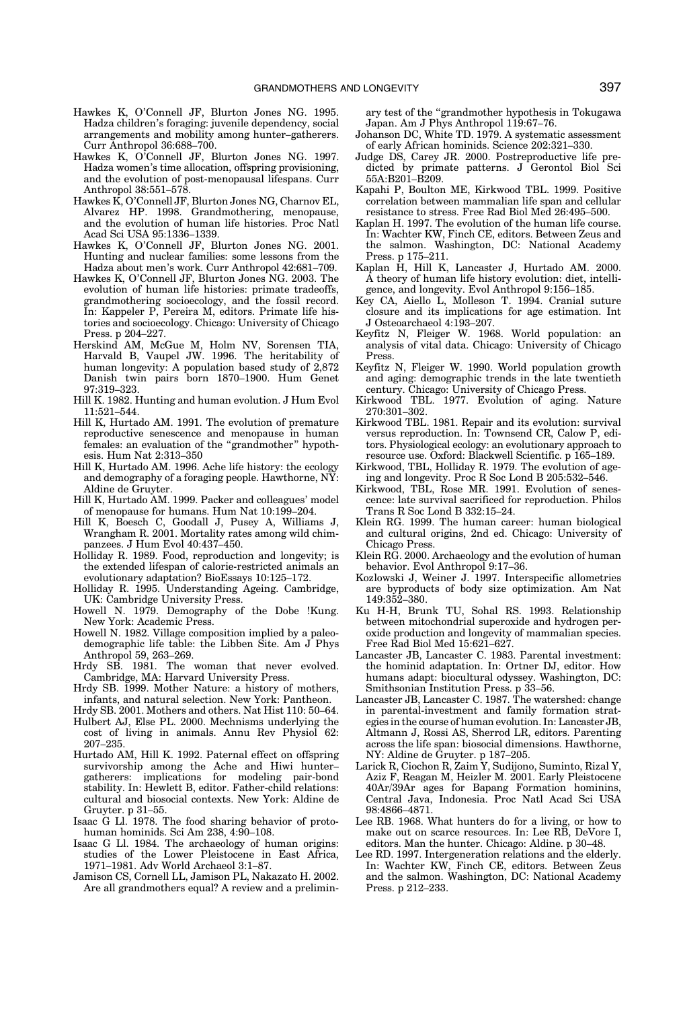- Hawkes K, O'Connell JF, Blurton Jones NG. 1995. Hadza children's foraging: juvenile dependency, social arrangements and mobility among hunter–gatherers. Curr Anthropol 36:688–700.
- Hawkes K, O'Connell JF, Blurton Jones NG. 1997. Hadza women's time allocation, offspring provisioning, and the evolution of post-menopausal lifespans. Curr Anthropol 38:551–578.
- Hawkes K, O'Connell JF, Blurton Jones NG, Charnov EL, Alvarez HP. 1998. Grandmothering, menopause, and the evolution of human life histories. Proc Natl Acad Sci USA 95:1336–1339.
- Hawkes K, O'Connell JF, Blurton Jones NG. 2001. Hunting and nuclear families: some lessons from the Hadza about men's work. Curr Anthropol 42:681–709.
- Hawkes K, O'Connell JF, Blurton Jones NG. 2003. The evolution of human life histories: primate tradeoffs, grandmothering socioecology, and the fossil record. In: Kappeler P, Pereira M, editors. Primate life histories and socioecology. Chicago: University of Chicago Press. p 204–227.
- Herskind AM, McGue M, Holm NV, Sorensen TIA, Harvald B, Vaupel JW. 1996. The heritability of human longevity: A population based study of 2,872 Danish twin pairs born 1870–1900. Hum Genet 97:319–323.
- Hill K. 1982. Hunting and human evolution. J Hum Evol 11:521–544.
- Hill K, Hurtado AM. 1991. The evolution of premature reproductive senescence and menopause in human females: an evaluation of the "grandmother" hypothesis. Hum Nat 2:313–350
- Hill K, Hurtado AM. 1996. Ache life history: the ecology and demography of a foraging people. Hawthorne, NY: Aldine de Gruyter.
- Hill K, Hurtado AM. 1999. Packer and colleagues' model of menopause for humans. Hum Nat 10:199–204.
- Hill K, Boesch C, Goodall J, Pusey A, Williams J, Wrangham R. 2001. Mortality rates among wild chimpanzees. J Hum Evol 40:437–450.
- Holliday R. 1989. Food, reproduction and longevity; is the extended lifespan of calorie-restricted animals an evolutionary adaptation? BioEssays 10:125–172.
- Holliday R. 1995. Understanding Ageing. Cambridge, UK: Cambridge University Press.
- Howell N. 1979. Demography of the Dobe !Kung. New York: Academic Press.
- Howell N. 1982. Village composition implied by a paleodemographic life table: the Libben Site. Am J Phys Anthropol 59, 263–269.
- Hrdy SB. 1981. The woman that never evolved. Cambridge, MA: Harvard University Press.
- Hrdy SB. 1999. Mother Nature: a history of mothers, infants, and natural selection. New York: Pantheon.
- Hrdy SB. 2001. Mothers and others. Nat Hist 110: 50–64.
- Hulbert AJ, Else PL. 2000. Mechnisms underlying the cost of living in animals. Annu Rev Physiol 62: 207–235.
- Hurtado AM, Hill K. 1992. Paternal effect on offspring survivorship among the Ache and Hiwi hunter– gatherers: implications for modeling pair-bond stability. In: Hewlett B, editor. Father-child relations: cultural and biosocial contexts. New York: Aldine de Gruyter. p 31–55.
- Isaac G Ll. 1978. The food sharing behavior of protohuman hominids. Sci Am 238, 4:90–108.
- Isaac G Ll. 1984. The archaeology of human origins: studies of the Lower Pleistocene in East Africa, 1971–1981. Adv World Archaeol 3:1–87.
- Jamison CS, Cornell LL, Jamison PL, Nakazato H. 2002. Are all grandmothers equal? A review and a prelimin-

ary test of the ''grandmother hypothesis in Tokugawa Japan. Am J Phys Anthropol 119:67–76.

- Johanson DC, White TD. 1979. A systematic assessment of early African hominids. Science 202:321–330.
- Judge DS, Carey JR. 2000. Postreproductive life predicted by primate patterns. J Gerontol Biol Sci 55A:B201–B209.
- Kapahi P, Boulton ME, Kirkwood TBL. 1999. Positive correlation between mammalian life span and cellular resistance to stress. Free Rad Biol Med 26:495–500.
- Kaplan H. 1997. The evolution of the human life course. In: Wachter KW, Finch CE, editors. Between Zeus and the salmon. Washington, DC: National Academy Press. p 175–211.
- Kaplan H, Hill K, Lancaster J, Hurtado AM. 2000. A theory of human life history evolution: diet, intelligence, and longevity. Evol Anthropol 9:156–185.
- Key CA, Aiello L, Molleson T. 1994. Cranial suture closure and its implications for age estimation. Int J Osteoarchaeol 4:193–207.
- Keyfitz N, Fleiger W. 1968. World population: an analysis of vital data. Chicago: University of Chicago Press.
- Keyfitz N, Fleiger W. 1990. World population growth and aging: demographic trends in the late twentieth century. Chicago: University of Chicago Press.
- Kirkwood TBL. 1977. Evolution of aging. Nature 270:301–302.
- Kirkwood TBL. 1981. Repair and its evolution: survival versus reproduction. In: Townsend CR, Calow P, editors. Physiological ecology: an evolutionary approach to resource use. Oxford: Blackwell Scientific. p 165–189.
- Kirkwood, TBL, Holliday R. 1979. The evolution of ageing and longevity. Proc R Soc Lond B 205:532–546. Kirkwood, TBL, Rose MR. 1991. Evolution of senes-
- cence: late survival sacrificed for reproduction. Philos Trans R Soc Lond B 332:15–24.
- Klein RG. 1999. The human career: human biological and cultural origins, 2nd ed. Chicago: University of Chicago Press.
- Klein RG. 2000. Archaeology and the evolution of human behavior. Evol Anthropol 9:17–36.
- Kozlowski J, Weiner J. 1997. Interspecific allometries are byproducts of body size optimization. Am Nat 149:352–380.
- Ku H-H, Brunk TU, Sohal RS. 1993. Relationship between mitochondrial superoxide and hydrogen peroxide production and longevity of mammalian species. Free Rad Biol Med 15:621–627.
- Lancaster JB, Lancaster C. 1983. Parental investment: the hominid adaptation. In: Ortner DJ, editor. How humans adapt: biocultural odyssey. Washington, DC:
- Smithsonian Institution Press. p 33–56. Lancaster JB, Lancaster C. 1987. The watershed: change in parental-investment and family formation strategies in the course of human evolution. In: Lancaster JB, Altmann J, Rossi AS, Sherrod LR, editors. Parenting across the life span: biosocial dimensions. Hawthorne,
- NY: Aldine de Gruyter. p 187–205. Larick R, Ciochon R, Zaim Y, Sudijono, Suminto, Rizal Y, Aziz F, Reagan M, Heizler M. 2001. Early Pleistocene 40Ar/39Ar ages for Bapang Formation hominins, Central Java, Indonesia. Proc Natl Acad Sci USA 98:4866–4871.
- Lee RB. 1968. What hunters do for a living, or how to make out on scarce resources. In: Lee RB, DeVore I, editors. Man the hunter. Chicago: Aldine. p 30–48.
- Lee RD. 1997. Intergeneration relations and the elderly. In: Wachter KW, Finch CE, editors. Between Zeus and the salmon. Washington, DC: National Academy Press. p 212–233.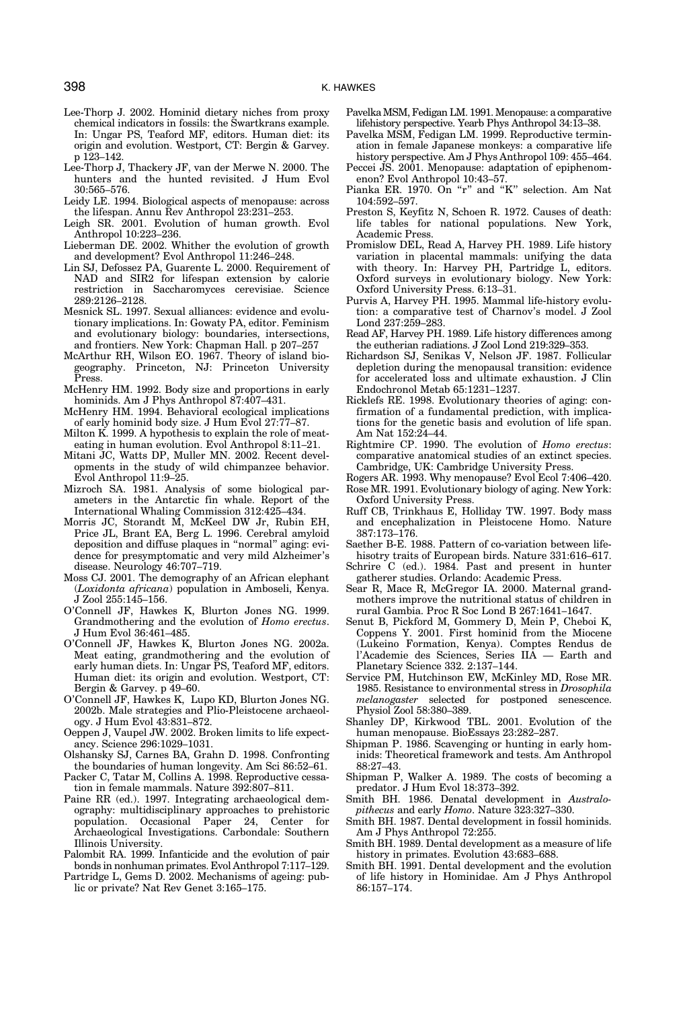- Lee-Thorp J. 2002. Hominid dietary niches from proxy chemical indicators in fossils: the Swartkrans example. In: Ungar PS, Teaford MF, editors. Human diet: its origin and evolution. Westport, CT: Bergin & Garvey. p 123–142.
- Lee-Thorp J, Thackery JF, van der Merwe N. 2000. The hunters and the hunted revisited. J Hum Evol 30:565–576.
- Leidy LE. 1994. Biological aspects of menopause: across the lifespan. Annu Rev Anthropol 23:231–253.
- Leigh SR. 2001. Evolution of human growth. Evol Anthropol 10:223–236.
- Lieberman DE. 2002. Whither the evolution of growth and development? Evol Anthropol 11:246–248.
- Lin SJ, Defossez PA, Guarente L. 2000. Requirement of NAD and SIR2 for lifespan extension by calorie restriction in Saccharomyces cerevisiae. Science 289:2126–2128.
- Mesnick SL. 1997. Sexual alliances: evidence and evolutionary implications. In: Gowaty PA, editor. Feminism and evolutionary biology: boundaries, intersections, and frontiers. New York: Chapman Hall. p 207–257
- McArthur RH, Wilson EO. 1967. Theory of island biogeography. Princeton, NJ: Princeton University Press.
- McHenry HM. 1992. Body size and proportions in early hominids. Am J Phys Anthropol 87:407-431.
- McHenry HM. 1994. Behavioral ecological implications of early hominid body size. J Hum Evol 27:77–87.
- Milton K. 1999. A hypothesis to explain the role of meateating in human evolution. Evol Anthropol 8:11–21.
- Mitani JC, Watts DP, Muller MN. 2002. Recent developments in the study of wild chimpanzee behavior. Evol Anthropol 11:9–25.
- Mizroch SA. 1981. Analysis of some biological parameters in the Antarctic fin whale. Report of the International Whaling Commission 312:425–434.
- Morris JC, Storandt M, McKeel DW Jr, Rubin EH, Price JL, Brant EA, Berg L. 1996. Cerebral amyloid deposition and diffuse plaques in ''normal'' aging: evidence for presymptomatic and very mild Alzheimer's disease. Neurology 46:707–719.
- Moss CJ. 2001. The demography of an African elephant (Loxidonta africana) population in Amboseli, Kenya. J Zool 255:145–156.
- O'Connell JF, Hawkes K, Blurton Jones NG. 1999. Grandmothering and the evolution of Homo erectus. J Hum Evol 36:461–485.
- O'Connell JF, Hawkes K, Blurton Jones NG. 2002a. Meat eating, grandmothering and the evolution of early human diets. In: Ungar PS, Teaford MF, editors. Human diet: its origin and evolution. Westport, CT: Bergin & Garvey. p 49–60.
- O'Connell JF, Hawkes K, Lupo KD, Blurton Jones NG. 2002b. Male strategies and Plio-Pleistocene archaeology. J Hum Evol 43:831–872.
- Oeppen J, Vaupel JW. 2002. Broken limits to life expectancy. Science 296:1029–1031.
- Olshansky SJ, Carnes BA, Grahn D. 1998. Confronting the boundaries of human longevity. Am Sci 86:52–61.
- Packer C, Tatar M, Collins A. 1998. Reproductive cessation in female mammals. Nature 392:807–811.
- Paine RR (ed.). 1997. Integrating archaeological demography: multidisciplinary approaches to prehistoric population. Occasional Paper 24, Center for Archaeological Investigations. Carbondale: Southern Illinois University.
- Palombit RA. 1999. Infanticide and the evolution of pair bonds in nonhuman primates. Evol Anthropol 7:117–129.
- Partridge L, Gems D. 2002. Mechanisms of ageing: public or private? Nat Rev Genet 3:165–175.
- Pavelka MSM, Fedigan LM. 1991. Menopause: a comparative lifehistory perspective. Yearb Phys Anthropol 34:13–38.
- Pavelka MSM, Fedigan LM. 1999. Reproductive termination in female Japanese monkeys: a comparative life
- history perspective. Am J Phys Anthropol 109: 455–464. Peccei JS. 2001. Menopause: adaptation of epiphenomenon? Evol Anthropol 10:43–57.
- Pianka ER. 1970. On "r" and "K" selection. Am Nat 104:592–597.
- Preston S, Keyfitz N, Schoen R. 1972. Causes of death: life tables for national populations. New York, Academic Press.
- Promislow DEL, Read A, Harvey PH. 1989. Life history variation in placental mammals: unifying the data with theory. In: Harvey PH, Partridge L, editors. Oxford surveys in evolutionary biology. New York: Oxford University Press. 6:13–31.
- Purvis A, Harvey PH. 1995. Mammal life-history evolution: a comparative test of Charnov's model. J Zool Lond 237:259–283.
- Read AF, Harvey PH. 1989. Life history differences among the eutherian radiations. J Zool Lond 219:329–353.
- Richardson SJ, Senikas V, Nelson JF. 1987. Follicular depletion during the menopausal transition: evidence for accelerated loss and ultimate exhaustion. J Clin Endochronol Metab 65:1231–1237.
- Ricklefs RE. 1998. Evolutionary theories of aging: confirmation of a fundamental prediction, with implications for the genetic basis and evolution of life span. Am Nat 152:24–44.
- Rightmire CP. 1990. The evolution of Homo erectus: comparative anatomical studies of an extinct species. Cambridge, UK: Cambridge University Press.
- Rogers AR. 1993. Why menopause? Evol Ecol 7:406–420.
- Rose MR. 1991. Evolutionary biology of aging. New York: Oxford University Press.
- Ruff CB, Trinkhaus E, Holliday TW. 1997. Body mass and encephalization in Pleistocene Homo. Nature 387:173–176.
- Saether B-E. 1988. Pattern of co-variation between lifehisotry traits of European birds. Nature 331:616–617.
- Schrire C (ed.). 1984. Past and present in hunter gatherer studies. Orlando: Academic Press.
- Sear R, Mace R, McGregor IA. 2000. Maternal grandmothers improve the nutritional status of children in rural Gambia. Proc R Soc Lond B 267:1641–1647.
- Senut B, Pickford M, Gommery D, Mein P, Cheboi K, Coppens Y. 2001. First hominid from the Miocene (Lukeino Formation, Kenya). Comptes Rendus de l'Academie des Sciences, Series IIA — Earth and Planetary Science 332. 2:137–144.
- Service PM, Hutchinson EW, McKinley MD, Rose MR. 1985. Resistance to environmental stress in Drosophila melanogaster selected for postponed senescence. Physiol Zool 58:380–389.
- Shanley DP, Kirkwood TBL. 2001. Evolution of the human menopause. BioEssays 23:282–287.
- Shipman P. 1986. Scavenging or hunting in early hominids: Theoretical framework and tests. Am Anthropol 88:27–43.
- Shipman P, Walker A. 1989. The costs of becoming a
- predator. J Hum Evol 18:373–392. Smith BH. 1986. Denatal development in Australopithecus and early Homo. Nature 323:327–330.
- Smith BH. 1987. Dental development in fossil hominids. Am J Phys Anthropol 72:255.
- Smith BH. 1989. Dental development as a measure of life history in primates. Evolution 43:683–688.
- Smith BH. 1991. Dental development and the evolution of life history in Hominidae. Am J Phys Anthropol 86:157–174.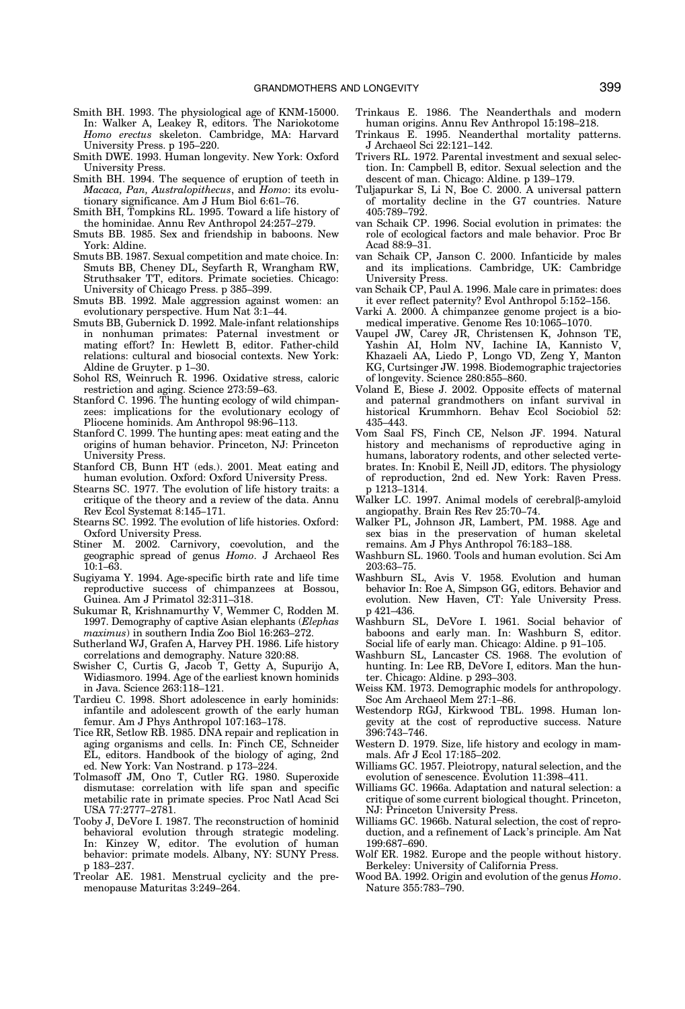- Smith BH. 1993. The physiological age of KNM-15000. In: Walker A, Leakey R, editors. The Nariokotome Homo erectus skeleton. Cambridge, MA: Harvard University Press. p 195–220.
- Smith DWE. 1993. Human longevity. New York: Oxford University Press.
- Smith BH. 1994. The sequence of eruption of teeth in Macaca, Pan, Australopithecus, and Homo: its evolutionary significance. Am J Hum Biol 6:61–76.
- Smith BH, Tompkins RL. 1995. Toward a life history of the hominidae. Annu Rev Anthropol 24:257–279.
- Smuts BB. 1985. Sex and friendship in baboons. New York: Aldine.
- Smuts BB. 1987. Sexual competition and mate choice. In: Smuts BB, Cheney DL, Seyfarth R, Wrangham RW, Struthsaker TT, editors. Primate societies. Chicago: University of Chicago Press. p 385–399.
- Smuts BB. 1992. Male aggression against women: an evolutionary perspective. Hum Nat 3:1–44.
- Smuts BB, Gubernick D. 1992. Male-infant relationships in nonhuman primates: Paternal investment or mating effort? In: Hewlett B, editor. Father-child relations: cultural and biosocial contexts. New York: Aldine de Gruyter. p 1–30. Sohol RS, Weinruch R. 1996. Oxidative stress, caloric
- restriction and aging. Science 273:59–63.
- Stanford C. 1996. The hunting ecology of wild chimpanzees: implications for the evolutionary ecology of Pliocene hominids. Am Anthropol 98:96–113.
- Stanford C. 1999. The hunting apes: meat eating and the origins of human behavior. Princeton, NJ: Princeton University Press.
- Stanford CB, Bunn HT (eds.). 2001. Meat eating and human evolution. Oxford: Oxford University Press.
- Stearns SC. 1977. The evolution of life history traits: a critique of the theory and a review of the data. Annu Rev Ecol Systemat 8:145–171.
- Stearns SC. 1992. The evolution of life histories. Oxford: Oxford University Press.
- Stiner M. 2002. Carnivory, coevolution, and the geographic spread of genus Homo. J Archaeol Res  $10:1-63$ .
- Sugiyama Y. 1994. Age-specific birth rate and life time reproductive success of chimpanzees at Bossou, Guinea. Am J Primatol 32:311–318.
- Sukumar R, Krishnamurthy V, Wemmer C, Rodden M. 1997. Demography of captive Asian elephants (Elephas maximus) in southern India Zoo Biol 16:263–272.
- Sutherland WJ, Grafen A, Harvey PH. 1986. Life history correlations and demography. Nature 320:88.
- Swisher C, Curtis G, Jacob T, Getty A, Supurijo A, Widiasmoro. 1994. Age of the earliest known hominids in Java. Science 263:118–121.
- Tardieu C. 1998. Short adolescence in early hominids: infantile and adolescent growth of the early human femur. Am J Phys Anthropol 107:163–178.
- Tice RR, Setlow RB. 1985. DNA repair and replication in aging organisms and cells. In: Finch CE, Schneider EL, editors. Handbook of the biology of aging, 2nd ed. New York: Van Nostrand. p 173–224.
- Tolmasoff JM, Ono T, Cutler RG. 1980. Superoxide dismutase: correlation with life span and specific metabilic rate in primate species. Proc Natl Acad Sci USA 77:2777–2781.
- Tooby J, DeVore I. 1987. The reconstruction of hominid behavioral evolution through strategic modeling. In: Kinzey W, editor. The evolution of human behavior: primate models. Albany, NY: SUNY Press. p 183–237.
- Treolar AE. 1981. Menstrual cyclicity and the premenopause Maturitas 3:249–264.
- Trinkaus E. 1986. The Neanderthals and modern human origins. Annu Rev Anthropol 15:198–218.
- Trinkaus E. 1995. Neanderthal mortality patterns. J Archaeol Sci 22:121–142.
- Trivers RL. 1972. Parental investment and sexual selection. In: Campbell B, editor. Sexual selection and the descent of man. Chicago: Aldine. p 139–179.
- Tuljapurkar S, Li N, Boe C. 2000. A universal pattern of mortality decline in the G7 countries. Nature 405:789–792.
- van Schaik CP. 1996. Social evolution in primates: the role of ecological factors and male behavior. Proc Br Acad 88:9–31.
- van Schaik CP, Janson C. 2000. Infanticide by males and its implications. Cambridge, UK: Cambridge University Press.
- van Schaik CP, Paul A. 1996. Male care in primates: does it ever reflect paternity? Evol Anthropol 5:152–156.
- Varki A. 2000. A chimpanzee genome project is a biomedical imperative. Genome Res 10:1065–1070.
- Vaupel JW, Carey JR, Christensen K, Johnson TE, Yashin AI, Holm NV, Iachine IA, Kannisto V, Khazaeli AA, Liedo P, Longo VD, Zeng Y, Manton KG, Curtsinger JW. 1998. Biodemographic trajectories of longevity. Science 280:855–860.
- Voland E, Biese J. 2002. Opposite effects of maternal and paternal grandmothers on infant survival in historical Krummhorn. Behav Ecol Sociobiol 52: 435–443.
- Vom Saal FS, Finch CE, Nelson JF. 1994. Natural history and mechanisms of reproductive aging in humans, laboratory rodents, and other selected vertebrates. In: Knobil E, Neill JD, editors. The physiology of reproduction, 2nd ed. New York: Raven Press. p 1213–1314.
- Walker LC. 1997. Animal models of cerebral<sub>p</sub>-amyloid angiopathy. Brain Res Rev 25:70–74.
- Walker PL, Johnson JR, Lambert, PM. 1988. Age and sex bias in the preservation of human skeletal remains. Am J Phys Anthropol 76:183–188.
- Washburn SL. 1960. Tools and human evolution. Sci Am 203:63–75.<br>Washburn SL,
- Avis V. 1958. Evolution and human behavior In: Roe A, Simpson GG, editors. Behavior and evolution. New Haven, CT: Yale University Press. p 421–436.
- Washburn SL, DeVore I. 1961. Social behavior of baboons and early man. In: Washburn S, editor. Social life of early man. Chicago: Aldine. p 91–105.
- Washburn SL, Lancaster CS. 1968. The evolution of hunting. In: Lee RB, DeVore I, editors. Man the hunter. Chicago: Aldine. p 293–303.
- Weiss KM. 1973. Demographic models for anthropology. Soc Am Archaeol Mem 27:1–86.
- Westendorp RGJ, Kirkwood TBL. 1998. Human longevity at the cost of reproductive success. Nature 396:743–746.
- Western D. 1979. Size, life history and ecology in mammals. Afr J Ecol 17:185–202.
- Williams GC. 1957. Pleiotropy, natural selection, and the evolution of senescence. Evolution 11:398–411.
- Williams GC. 1966a. Adaptation and natural selection: a critique of some current biological thought. Princeton, NJ: Princeton University Press.
- Williams GC. 1966b. Natural selection, the cost of reproduction, and a refinement of Lack's principle. Am Nat 199:687–690.
- Wolf ER. 1982. Europe and the people without history. Berkeley: University of California Press.
- Wood BA. 1992. Origin and evolution of the genus Homo. Nature 355:783–790.